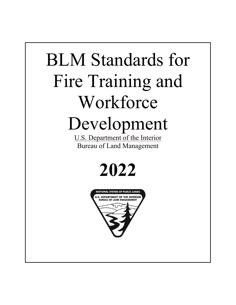# BLM Standards for Fire Training and Workforce Development

U.S. Department of the Interior Bureau of Land Management

# **2022**

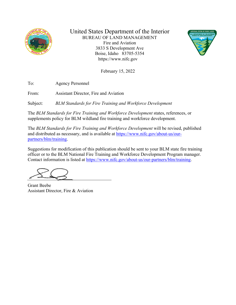

United States Department of the Interior BUREAU OF LAND MANAGEMENT Fire and Aviation 3833 S Development Ave Boise, Idaho 83705-5354 https://www.nifc.gov



February 15, 2022

To: Agency Personnel

From: Assistant Director, Fire and Aviation

Subject: *BLM Standards for Fire Training and Workforce Development*

The *BLM Standards for Fire Training and Workforce Development* states, references, or supplements policy for BLM wildland fire training and workforce development.

The *BLM Standards for Fire Training and Workforce Development* will be revised, published and distributed as necessary, and is available at [https://www.nifc.gov/about-us/our](https://www.nifc.gov/about-us/our-partners/blm/training)[partners/blm/training.](https://www.nifc.gov/about-us/our-partners/blm/training)

Suggestions for modification of this publication should be sent to your BLM state fire training officer or to the BLM National Fire Training and Workforce Development Program manager. Contact information is listed at [https://www.nifc.gov/about-us/our-partners/blm/training.](https://www.nifc.gov/about-us/our-partners/blm/training)

Grant Beebe Assistant Director, Fire & Aviation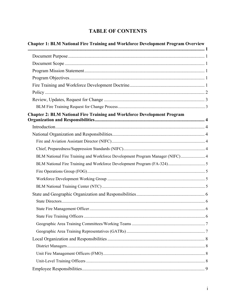# **TABLE OF CONTENTS**

| <b>Chapter 1: BLM National Fire Training and Workforce Development Program Overview</b> |  |
|-----------------------------------------------------------------------------------------|--|
|                                                                                         |  |
|                                                                                         |  |
|                                                                                         |  |
|                                                                                         |  |
|                                                                                         |  |
|                                                                                         |  |
|                                                                                         |  |
|                                                                                         |  |
| <b>Chapter 2: BLM National Fire Training and Workforce Development Program</b>          |  |
|                                                                                         |  |
|                                                                                         |  |
|                                                                                         |  |
|                                                                                         |  |
| BLM National Fire Training and Workforce Development Program Manager (NIFC) 4           |  |
|                                                                                         |  |
|                                                                                         |  |
|                                                                                         |  |
|                                                                                         |  |
|                                                                                         |  |
|                                                                                         |  |
|                                                                                         |  |
|                                                                                         |  |
|                                                                                         |  |
|                                                                                         |  |
|                                                                                         |  |
|                                                                                         |  |
|                                                                                         |  |
|                                                                                         |  |
|                                                                                         |  |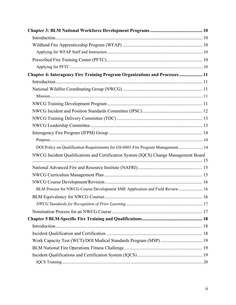| Chapter 4: Interagency Fire Training Program Organizations and Processes  11         |  |
|--------------------------------------------------------------------------------------|--|
|                                                                                      |  |
|                                                                                      |  |
|                                                                                      |  |
|                                                                                      |  |
|                                                                                      |  |
|                                                                                      |  |
|                                                                                      |  |
|                                                                                      |  |
|                                                                                      |  |
| DOI Policy on Qualification Requirements for GS-0401 Fire Program Management 14      |  |
| NWCG Incident Qualifications and Certification System (IQCS) Change Management Board |  |
|                                                                                      |  |
|                                                                                      |  |
|                                                                                      |  |
|                                                                                      |  |
| BLM Process for NWCG Course Development SME Application and Field Review  16         |  |
|                                                                                      |  |
|                                                                                      |  |
|                                                                                      |  |
|                                                                                      |  |
|                                                                                      |  |
|                                                                                      |  |
|                                                                                      |  |
|                                                                                      |  |
|                                                                                      |  |
|                                                                                      |  |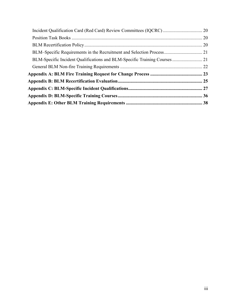| BLM-Specific Incident Qualifications and BLM-Specific Training Courses 21 |  |
|---------------------------------------------------------------------------|--|
|                                                                           |  |
|                                                                           |  |
|                                                                           |  |
|                                                                           |  |
|                                                                           |  |
|                                                                           |  |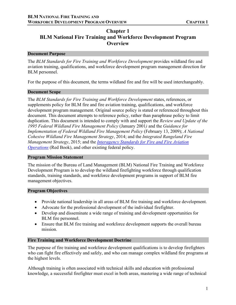## <span id="page-5-0"></span>**Chapter 1 BLM National Fire Training and Workforce Development Program Overview**

## <span id="page-5-1"></span>**Document Purpose**

The *BLM Standards for Fire Training and Workforce Development* provides wildland fire and aviation training, qualifications, and workforce development program management direction for BLM personnel.

For the purpose of this document, the terms wildland fire and fire will be used interchangeably.

#### <span id="page-5-2"></span>**Document Scope**

The *BLM Standards for Fire Training and Workforce Development* states, references, or supplements policy for BLM fire and fire aviation training, qualifications, and workforce development program management. Original source policy is stated or referenced throughout this document. This document attempts to reference policy, rather than paraphrase policy to limit duplication. This document is intended to comply with and support the *Review and Update of the 1995 Federal Wildland Fire Management Policy* (January 2001*)* and the *Guidance for Implementation of Federal Wildland Fire Management Policy* (February 13, 2009); *A National Cohesive Wildland Fire Management Strategy*, 2014; and the *Integrated Rangeland Fire Management Strategy*, 2015; and the *[Interagency Standards for Fire and Fire Aviation](https://www.nifc.gov/standards/guides/red-book)  [Operations](https://www.nifc.gov/standards/guides/red-book)* (Red Book), and other existing federal policy.

## <span id="page-5-3"></span>**Program Mission Statement**

The mission of the Bureau of Land Management (BLM) National Fire Training and Workforce Development Program is to develop the wildland firefighting workforce through qualification standards, training standards, and workforce development programs in support of BLM fire management objectives.

## <span id="page-5-4"></span>**Program Objectives**

- Provide national leadership in all areas of BLM fire training and workforce development.
- Advocate for the professional development of the individual firefighter.
- Develop and disseminate a wide range of training and development opportunities for BLM fire personnel.
- Ensure that BLM fire training and workforce development supports the overall bureau mission.

## <span id="page-5-5"></span>**Fire Training and Workforce Development Doctrine**

The purpose of fire training and workforce development qualifications is to develop firefighters who can fight fire effectively and safely, and who can manage complex wildland fire programs at the highest levels.

Although training is often associated with technical skills and education with professional knowledge, a successful firefighter must excel in both areas, mastering a wide range of technical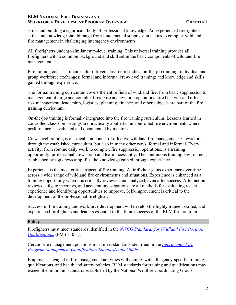## **BLM NATIONAL FIRE TRAINING AND WORKFORCE DEVELOPMENT PROGRAM OVERVIEW CHAPTER 1**

skills and building a significant body of professional knowledge. An experienced firefighter's skills and knowledge should range from fundamental suppression tactics to complex wildland fire management in challenging interagency environments.

All firefighters undergo similar entry-level training. This universal training provides all firefighters with a common background and skill set in the basic components of wildland fire management.

Fire training consists of curriculum-driven classroom studies; on-the-job training; individual and group workforce exchanges; formal and informal crew-level training; and knowledge and skills gained through experience.

The formal training curriculum covers the entire field of wildland fire, from basic suppression to management of large and complex fires. Fire and aviation operations, fire behavior and effects, risk management, leadership, logistics, planning, finance, and other subjects are part of the fire training curriculum.

On-the-job training is formally integrated into the fire training curriculum. Lessons learned in controlled classroom settings are practically applied in uncontrolled fire environments where performance is evaluated and documented by mentors.

Crew-level training is a critical component of effective wildland fire management. Crews train through the established curriculum, but also in many other ways, formal and informal. Every activity, from routine daily work to complex fire suppression operations, is a training opportunity; professional crews train and learn incessantly. The continuous training environment established by top crews amplifies the knowledge gained through experience.

Experience is the most critical aspect of fire training. A firefighter gains experience over time across a wide range of wildland fire environments and situations. Experience is enhanced as a training opportunity when it is critically reviewed and analyzed, even after success. After action reviews, tailgate meetings, and accident investigations are all methods for evaluating recent experience and identifying opportunities to improve. Self-improvement is critical to the development of the professional firefighter.

Successful fire training and workforce development will develop the highly trained, skilled, and experienced firefighters and leaders essential to the future success of the BLM fire program.

## <span id="page-6-0"></span>**Policy**

Firefighters must meet standards identified in the *[NWCG Standards for Wildland Fire Position](https://www.nwcg.gov/publications/310-1)  [Qualifications](https://www.nwcg.gov/publications/310-1)* (PMS 310-1).

Certain fire management positions must meet standards identified in the *[Interagency Fire](https://www.ifpm.nifc.gov/) [Program Management Qualifications Standards and Guide](https://www.ifpm.nifc.gov/)*.

Employees engaged in fire management activities will comply with all agency-specific training, qualifications, and health and safety policies. BLM standards for training and qualifications may exceed the minimum standards established by the National Wildfire Coordinating Group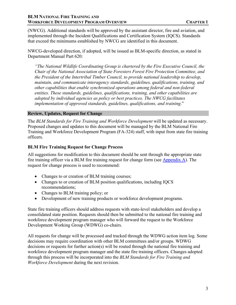## **BLM NATIONAL FIRE TRAINING AND WORKFORCE DEVELOPMENT PROGRAM OVERVIEW CHAPTER 1**

(NWCG). Additional standards will be approved by the assistant director, fire and aviation, and implemented through the Incident Qualifications and Certification System (IQCS). Standards that exceed the minimums established by NWCG are identified in this document.

NWCG-developed direction, if adopted, will be issued as BLM-specific direction, as stated in Department Manual Part 620:

*"The National Wildlife Coordinating Group is chartered by the Fire Executive Council, the Chair of the National Association of State Foresters Forest Fire Protection Committee, and the President of the Intertribal Timber Council, to provide national leadership to develop, maintain, and communicate interagency standards, guidelines, qualifications, training, and other capabilities that enable synchronized operations among federal and non-federal entities. These standards, guidelines, qualifications, training, and other capabilities are adopted by individual agencies as policy or best practices. The NWCG facilitates implementation of approved standards, guidelines, qualifications, and training*."

## <span id="page-7-0"></span>**Review, Updates, Request for Change**

The *BLM Standards for Fire Training and Workforce Development* will be updated as necessary. Proposed changes and updates to this document will be managed by the BLM National Fire Training and Workforce Development Program (FA-324) staff, with input from state fire training officers.

## <span id="page-7-1"></span>**BLM Fire Training Request for Change Process**

All suggestions for modification to this document should be sent through the appropriate state fire training officer via a BLM fire training request for change form (see Appendix A). The request for change process is used to recommend:

- Changes to or creation of BLM training courses;
- Changes to or creation of BLM position qualifications, including IQCS recommendations;
- Changes to BLM training policy; or
- Development of new training products or workforce development programs.

State fire training officers should address requests with state-level stakeholders and develop a consolidated state position. Requests should then be submitted to the national fire training and workforce development program manager who will forward the request to the Workforce Development Working Group (WDWG) co-chairs.

All requests for change will be processed and tracked through the WDWG action item log. Some decisions may require coordination with other BLM committees and/or groups. WDWG decisions or requests for further action(s) will be routed through the national fire training and workforce development program manager and the state fire training officers. Changes adopted through this process will be incorporated into the *BLM Standards for Fire Training and Workforce Development* during the next revision.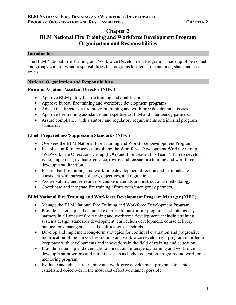## **Chapter 2**

## <span id="page-8-0"></span>**BLM National Fire Training and Workforce Development Program Organization and Responsibilities**

## <span id="page-8-1"></span>**Introduction**

The BLM National Fire Training and Workforce Development Program is made up of personnel and groups with roles and responsibilities for programs located at the national, state, and local levels.

## <span id="page-8-2"></span>**National Organization and Responsibilities**

## <span id="page-8-3"></span>**Fire and Aviation Assistant Director (NIFC)**

- Approve BLM policy for fire training and qualifications.
- Approve bureau fire training and workforce development programs.
- Advise the director on fire program training and workforce development issues.
- Approve fire training assistance and expertise to BLM and interagency partners.
- Assure compliance with statutory and regulatory requirements and internal program standards.

## <span id="page-8-4"></span>**Chief, Preparedness/Suppression Standards (NIFC)**

- Oversees the BLM National Fire Training and Workforce Development Program.
- Establish uniform processes involving the Workforce Development Working Group (WDWG), Fire Operations Group (FOG) and Fire Leadership Team (FLT) to develop, issue, implement, evaluate, enforce, revise, and reissue fire training and workforce development direction.
- Ensure that fire training and workforce development direction and materials are consistent with bureau policies, objectives, and regulations.
- Assure validity and relevance of course materials and instructional methodology.
- Coordinate and integrate fire training efforts with interagency partners.

## <span id="page-8-5"></span>**BLM National Fire Training and Workforce Development Program Manager (NIFC)**

- Manage the BLM National Fire Training and Workforce Development Program.
- Provide leadership and technical expertise to bureau fire programs and interagency partners in all areas of fire training and workforce development, including training systems design, standards development, curriculum development, course delivery, publications management, and qualifications standards.
- Develop and implement long-term strategies for continual evaluation and progressive modification of the bureau fire training and workforce development program in order to keep pace with developments and innovations in the field of training and education.
- Provide leadership and oversight to bureau and interagency training and workforce development programs and initiatives such as higher education programs and workforce mentoring program.
- Evaluate and adjust fire training and workforce development programs to achieve established objectives in the most cost-effective manner possible.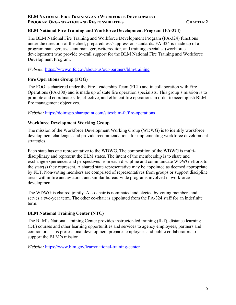## <span id="page-9-0"></span>**BLM National Fire Training and Workforce Development Program (FA-324)**

The BLM National Fire Training and Workforce Development Program (FA-324) functions under the direction of the chief, preparedness/suppression standards. FA-324 is made up of a program manager, assistant manager, writer/editor, and training specialist (workforce development) who provide overall support for the BLM National Fire Training and Workforce Development Program.

*Website:* <https://www.nifc.gov/about-us/our-partners/blm/training>

## <span id="page-9-1"></span>**Fire Operations Group (FOG)**

The FOG is chartered under the Fire Leadership Team (FLT) and in collaboration with Fire Operations (FA-300) and is made up of state fire operation specialists. This group's mission is to promote and coordinate safe, effective, and efficient fire operations in order to accomplish BLM fire management objectives.

*Website:* <https://doimspp.sharepoint.com/sites/blm-fa/fire-operations>

## <span id="page-9-2"></span>**Workforce Development Working Group**

The mission of the Workforce Development Working Group (WDWG) is to identify workforce development challenges and provide recommendations for implementing workforce development strategies.

Each state has one representative to the WDWG. The composition of the WDWG is multidisciplinary and represent the BLM states. The intent of the membership is to share and exchange experiences and perspectives from each discipline and communicate WDWG efforts to the state(s) they represent. A shared state representative may be appointed as deemed appropriate by FLT. Non-voting members are comprised of representatives from groups or support discipline areas within fire and aviation, and similar bureau-wide programs involved in workforce development.

The WDWG is chaired jointly. A co-chair is nominated and elected by voting members and serves a two-year term. The other co-chair is appointed from the FA-324 staff for an indefinite term.

## <span id="page-9-3"></span>**BLM National Training Center (NTC)**

The BLM's National Training Center provides instructor-led training (ILT), distance learning (DL) courses and other learning opportunities and services to agency employees, partners and contractors. This professional development prepares employees and public collaborators to support the BLM's mission.

*Website:* <https://www.blm.gov/learn/national-training-center>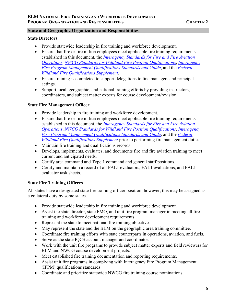## <span id="page-10-0"></span>**State and Geographic Organization and Responsibilities**

### <span id="page-10-1"></span>**State Directors**

- Provide statewide leadership in fire training and workforce development.
- Ensure that fire or fire militia employees meet applicable fire training requirements established in this document, the *[Interagency Standards for Fire and Fire Aviation](https://www.nifc.gov/standards/guides/red-book)  [Operations](https://www.nifc.gov/standards/guides/red-book)*, *[NWCG Standards for Wildland Fire Position Qualifications](https://www.nwcg.gov/publications/310-1)*, *[Interagency](https://ifpm.nifc.gov/)  [Fire Program Management Qualifications Standards and Guide](https://ifpm.nifc.gov/)*, and the *[Federal](https://iqcsweb.nwcg.gov/sites/default/files/documents/FedSupplement_2022.pdf)  [Wildland Fire Qualifications Supplement](https://iqcsweb.nwcg.gov/sites/default/files/documents/FedSupplement_2022.pdf)*.
- Ensure training is completed to support delegations to line managers and principal actings.
- Support local, geographic, and national training efforts by providing instructors, coordinators, and subject matter experts for course development/revision.

## <span id="page-10-2"></span>**State Fire Management Officer**

- Provide leadership in fire training and workforce development.
- Ensure that fire or fire militia employees meet applicable fire training requirements established in this document, the *[Interagency Standards for Fire and Fire Aviation](https://www.nifc.gov/standards/guides/red-book)  [Operations](https://www.nifc.gov/standards/guides/red-book)*, *[NWCG Standards for Wildland Fire Position Qualifications](https://www.nwcg.gov/publications/310-1)*, *[Interagency](https://ifpm.nifc.gov/)  [Fire Program Management Qualifications Standards and Guide](https://ifpm.nifc.gov/)*, and the *[Federal](https://iqcsweb.nwcg.gov/sites/default/files/documents/FedSupplement_2022.pdf)  [Wildland Fire Qualifications Supplement](https://iqcsweb.nwcg.gov/sites/default/files/documents/FedSupplement_2022.pdf)* prior to performing fire management duties.
- Maintain fire training and qualifications records.
- Develops, implements, evaluates, and documents fire and fire aviation training to meet current and anticipated needs.
- Certify area command and Type 1 command and general staff positions.
- Certify and maintain a record of all FAL1 evaluators, FAL1 evaluations, and FAL1 evaluator task sheets.

## <span id="page-10-3"></span>**State Fire Training Officers**

All states have a designated state fire training officer position; however, this may be assigned as a collateral duty by some states.

- Provide statewide leadership in fire training and workforce development.
- Assist the state director, state FMO, and unit fire program manager in meeting all fire training and workforce development requirements.
- Represent the state to meet national fire training objectives.
- May represent the state and the BLM on the geographic area training committee.
- Coordinate fire training efforts with state counterparts in operations, aviation, and fuels.
- Serve as the state IQCS account manager and coordinator.
- Work with the unit fire programs to provide subject matter experts and field reviewers for BLM and NWCG course development projects.
- Meet established fire training documentation and reporting requirements.
- Assist unit fire programs in complying with Interagency Fire Program Management (IFPM) qualifications standards.
- Coordinate and prioritize statewide NWCG fire training course nominations.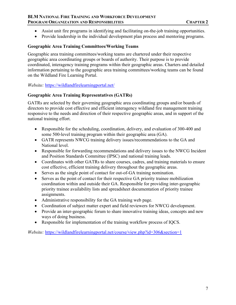## **BLM NATIONAL FIRE TRAINING AND WORKFORCE DEVELOPMENT PROGRAM ORGANIZATION AND RESPONSIBILITIES CHAPTER 2**

- Assist unit fire programs in identifying and facilitating on-the-job training opportunities.
- Provide leadership in the individual development plan process and mentoring programs.

## <span id="page-11-0"></span>**Geographic Area Training Committees/Working Teams**

Geographic area training committees/working teams are chartered under their respective geographic area coordinating groups or boards of authority. Their purpose is to provide coordinated, interagency training programs within their geographic areas. Charters and detailed information pertaining to the geographic area training committees/working teams can be found on the Wildland Fire Learning Portal.

*Website:* <https://wildlandfirelearningportal.net/>

## <span id="page-11-1"></span>**Geographic Area Training Representatives (GATRs)**

GATRs are selected by their governing geographic area coordinating groups and/or boards of directors to provide cost effective and efficient interagency wildland fire management training responsive to the needs and direction of their respective geographic areas, and in support of the national training effort.

- Responsible for the scheduling, coordination, delivery, and evaluation of 300-400 and some 500-level training program within their geographic area (GA).
- GATR represents NWCG training delivery issues/recommendations to the GA and National level.
- Responsible for forwarding recommendations and delivery issues to the NWCG Incident and Position Standards Committee (IPSC) and national training leads.
- Coordinates with other GATRs to share courses, cadres, and training materials to ensure cost effective, efficient training delivery throughout the geographic areas.
- Serves as the single point of contact for out-of-GA training nomination.
- Serves as the point of contact for their respective GA priority trainee mobilization coordination within and outside their GA. Responsible for providing inter-geographic priority trainee availability lists and spreadsheet documentation of priority trainee assignments.
- Administrative responsibility for the GA training web page.
- Coordination of subject matter expert and field reviewers for NWCG development.
- Provide an inter-geographic forum to share innovative training ideas, concepts and new ways of doing business.
- Responsible for implementation of the training workflow process of IQCS.

*Website:* [https://wildlandfirelearningportal.net/course/view.php?id=306&section=1](https://wildlandfirelearningportal.net/course/view.php?id=306§ion=1)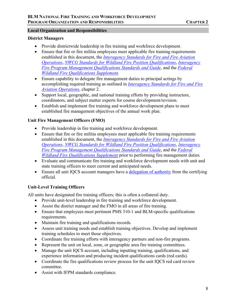## <span id="page-12-0"></span>**Local Organization and Responsibilities**

## <span id="page-12-1"></span>**District Managers**

- Provide districtwide leadership in fire training and workforce development.
- Ensure that fire or fire militia employees meet applicable fire training requirements established in this document, the *[Interagency Standards for Fire and Fire Aviation](https://www.nifc.gov/standards/guides/red-book)  [Operations](https://www.nifc.gov/standards/guides/red-book)*, *[NWCG Standards for Wildland Fire Position Qualifications](https://www.nwcg.gov/publications/310-1)*, *[Interagency](https://ifpm.nifc.gov/)  [Fire Program Management Qualifications Standards and Guide](https://ifpm.nifc.gov/)*, and the *[Federal](https://iqcsweb.nwcg.gov/sites/default/files/documents/FedSupplement_2022.pdf)  [Wildland Fire Qualifications Supplement](https://iqcsweb.nwcg.gov/sites/default/files/documents/FedSupplement_2022.pdf)*.
- Ensure capability to delegate fire management duties to principal actings by accomplishing required training as outlined in *[Interagency Standards for Fire and Fire](https://www.nifc.gov/standards/guides/red-book)  [Aviation Operations](https://www.nifc.gov/standards/guides/red-book)*, chapter 2.
- Support local, geographic, and national training efforts by providing instructors, coordinators, and subject matter experts for course development/revision.
- Establish and implement fire training and workforce development plans to meet established fire management objectives of the annual work plan.

## <span id="page-12-2"></span>**Unit Fire Management Officers (FMO)**

- Provide leadership in fire training and workforce development.
- Ensure that fire or fire militia employees meet applicable fire training requirements established in this document, the *[Interagency Standards for Fire and Fire Aviation](https://www.nifc.gov/standards/guides/red-book)  [Operations](https://www.nifc.gov/standards/guides/red-book)*, *[NWCG Standards for Wildland Fire Position Qualifications](https://www.nwcg.gov/publications/310-1)*, *[Interagency](https://ifpm.nifc.gov/)  [Fire Program Management Qualifications Standards and Guide](https://ifpm.nifc.gov/)*, and the *[Federal](https://iqcsweb.nwcg.gov/sites/default/files/documents/FedSupplement_2022.pdf)  [Wildland Fire Qualifications Supplement](https://iqcsweb.nwcg.gov/sites/default/files/documents/FedSupplement_2022.pdf)* prior to performing fire management duties.
- Evaluate and communicate fire training and workforce development needs with unit and state training officers to meet current and anticipated needs.
- Ensure all unit IQCS account managers have a [delegation of authority](https://iqcsweb.nwcg.gov/sites/default/files/2017-12/delegation_of_authority.pdf) from the certifying official.

## <span id="page-12-3"></span>**Unit-Level Training Officers**

All units have designated fire training officers; this is often a collateral duty.

- Provide unit-level leadership in fire training and workforce development.
- Assist the district manager and the FMO in all areas of fire training.
- Ensure that employees meet pertinent PMS 310-1 and BLM-specific qualifications requirements.
- Maintain fire training and qualifications records.
- Assess unit training needs and establish training objectives. Develop and implement training schedules to meet those objectives.
- Coordinate fire training efforts with interagency partners and non-fire programs.
- Represent the unit on local, zone, or geographic area fire training committees.
- Manage the unit IQCS account, including inputting training, qualifications, and experience information and producing incident qualifications cards (red cards).
- Coordinate the fire qualifications review process for the unit IQCS red card review committee.
- Assist with IFPM standards compliance.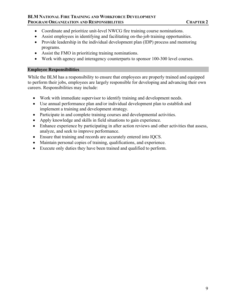## **BLM NATIONAL FIRE TRAINING AND WORKFORCE DEVELOPMENT PROGRAM ORGANIZATION AND RESPONSIBILITIES CHAPTER 2**

- Coordinate and prioritize unit-level NWCG fire training course nominations.
- Assist employees in identifying and facilitating on-the-job training opportunities.
- Provide leadership in the individual development plan (IDP) process and mentoring programs.
- Assist the FMO in prioritizing training nominations.
- Work with agency and interagency counterparts to sponsor 100-300 level courses.

## <span id="page-13-0"></span>**Employee Responsibilities**

While the BLM has a responsibility to ensure that employees are properly trained and equipped to perform their jobs, employees are largely responsible for developing and advancing their own careers. Responsibilities may include:

- Work with immediate supervisor to identify training and development needs.
- Use annual performance plan and/or individual development plan to establish and implement a training and development strategy.
- Participate in and complete training courses and developmental activities.
- Apply knowledge and skills in field situations to gain experience.
- Enhance experience by participating in after action reviews and other activities that assess, analyze, and seek to improve performance.
- Ensure that training and records are accurately entered into IQCS.
- Maintain personal copies of training, qualifications, and experience.
- Execute only duties they have been trained and qualified to perform.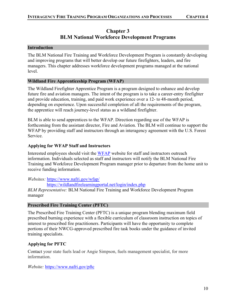## **Chapter 3 BLM National Workforce Development Programs**

## <span id="page-14-1"></span><span id="page-14-0"></span>**Introduction**

The BLM National Fire Training and Workforce Development Program is constantly developing and improving programs that will better develop our future firefighters, leaders, and fire managers. This chapter addresses workforce development programs managed at the national level.

## <span id="page-14-2"></span>**Wildland Fire Apprenticeship Program (WFAP)**

The Wildland Firefighter Apprentice Program is a program designed to enhance and develop future fire and aviation managers. The intent of the program is to take a career-entry firefighter and provide education, training, and paid work experience over a 12- to 48-month period, depending on experience. Upon successful completion of all the requirements of the program, the apprentice will reach journey-level status as a wildland firefighter.

BLM is able to send apprentices to the WFAP. Direction regarding use of the WFAP is forthcoming from the assistant director, Fire and Aviation. The BLM will continue to support the WFAP by providing staff and instructors through an interagency agreement with the U.S. Forest Service.

## <span id="page-14-3"></span>**Applying for WFAP Staff and Instructors**

Interested employees should visit the [WFAP](https://www.nafri.gov/wfap/) website for staff and instructors outreach information. Individuals selected as staff and instructors will notify the BLM National Fire Training and Workforce Development Program manager prior to departure from the home unit to receive funding information.

*Websites:* <https://www.nafri.gov/wfap/>

https://wildlandfirelearningportal.net/login/index.php

*BLM Representative:* BLM National Fire Training and Workforce Development Program manager

## <span id="page-14-4"></span>**Prescribed Fire Training Center (PFTC)**

The Prescribed Fire Training Center (PFTC) is a unique program blending maximum field prescribed burning experience with a flexible curriculum of classroom instruction on topics of interest to prescribed fire practitioners. Participants will have the opportunity to complete portions of their NWCG-approved prescribed fire task books under the guidance of invited training specialists.

## <span id="page-14-5"></span>**Applying for PFTC**

Contact your state fuels lead or Angie Simpson, fuels management specialist, for more information.

*Website:* <https://www.nafri.gov/pftc>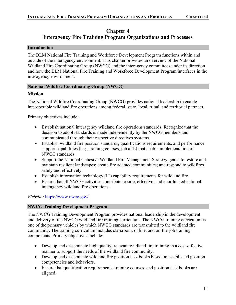## <span id="page-15-0"></span>**Chapter 4 Interagency Fire Training Program Organizations and Processes**

## <span id="page-15-1"></span>**Introduction**

The BLM National Fire Training and Workforce Development Program functions within and outside of the interagency environment. This chapter provides an overview of the National Wildland Fire Coordinating Group (NWCG) and the interagency committees under its direction and how the BLM National Fire Training and Workforce Development Program interfaces in the interagency environment.

## <span id="page-15-2"></span>**National Wildfire Coordinating Group (NWCG)**

## <span id="page-15-3"></span>**Mission**

The National Wildfire Coordinating Group (NWCG) provides national leadership to enable interoperable wildland fire operations among federal, state, local, tribal, and territorial partners.

Primary objectives include:

- Establish national interagency wildland fire operations standards. Recognize that the decision to adopt standards is made independently by the NWCG members and communicated through their respective directives systems.
- Establish wildland fire position standards, qualifications requirements, and performance support capabilities (e.g., training courses, job aids) that enable implementation of NWCG standards.
- Support the National Cohesive Wildland Fire Management Strategy goals: to restore and maintain resilient landscapes; create fire adapted communities; and respond to wildfires safely and effectively.
- Establish information technology (IT) capability requirements for wildland fire.
- Ensure that all NWCG activities contribute to safe, effective, and coordinated national interagency wildland fire operations.

*Website:* <https://www.nwcg.gov/>

## <span id="page-15-4"></span>**NWCG Training Development Program**

The NWCG Training Development Program provides national leadership in the development and delivery of the NWCG wildland fire training curriculum. The NWCG training curriculum is one of the primary vehicles by which NWCG standards are transmitted to the wildland fire community. The training curriculum includes classroom, online, and on-the-job training components. Primary objectives include:

- Develop and disseminate high quality, relevant wildland fire training in a cost-effective manner to support the needs of the wildland fire community.
- Develop and disseminate wildland fire position task books based on established position competencies and behaviors.
- Ensure that qualification requirements, training courses, and position task books are aligned.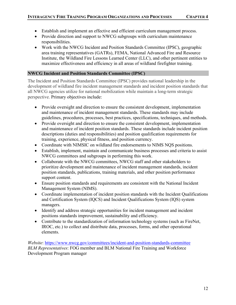- Establish and implement an effective and efficient curriculum management process.
- Provide direction and support to NWCG subgroups with curriculum maintenance responsibilities.
- Work with the NWCG Incident and Position Standards Committee (IPSC), geographic area training representatives (GATRs), FEMA, National Advanced Fire and Resource Institute, the Wildland Fire Lessons Learned Center (LLC), and other pertinent entities to maximize effectiveness and efficiency in all areas of wildland firefighter training.

## <span id="page-16-0"></span>**NWCG Incident and Position Standards Committee (IPSC)**

The Incident and Position Standards Committee (IPSC) provides national leadership in the development of wildland fire incident management standards and incident position standards that all NWCG agencies utilize for national mobilization while maintain a long-term strategic perspective. Primary objectives include:

- Provide oversight and direction to ensure the consistent development, implementation and maintenance of incident management standards. These standards may include guidelines, procedures, processes, best practices, specifications, techniques, and methods.
- Provide oversight and direction to ensure the consistent development, implementation and maintenance of incident position standards. These standards include incident position descriptions (duties and responsibilities) and position qualification requirements for training, experience, physical fitness, and position currency.
- Coordinate with NIMSIC on wildland fire endorsements to NIMS NQS positions.
- Establish, implement, maintain and communicate business processes and criteria to assist NWCG committees and subgroups in performing this work.
- Collaborate with the NWCG committees, NWCG staff and other stakeholders to prioritize development and maintenance of incident management standards, incident position standards, publications, training materials, and other position performance support content.
- Ensure position standards and requirements are consistent with the National Incident Management System (NIMS).
- Coordinate implementation of incident position standards with the Incident Qualifications and Certification System (IQCS) and Incident Qualifications System (IQS) system managers.
- Identify and address strategic opportunities for incident management and incident positions standards improvement, sustainability and efficiency.
- Contribute to the standardization of information technology systems (such as FireNet, IROC, etc.) to collect and distribute data, processes, forms, and other operational elements.

*Website*:<https://www.nwcg.gov/committees/incident-and-position-standards-committee> *BLM Representatives*: FOG member and BLM National Fire Training and Workforce Development Program manager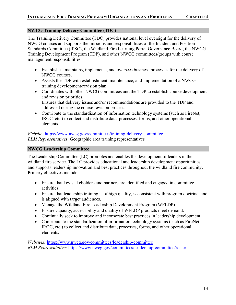## <span id="page-17-0"></span>**NWCG Training Delivery Committee (TDC)**

The Training Delivery Committee (TDC) provides national level oversight for the delivery of NWCG courses and supports the missions and responsibilities of the Incident and Position Standards Committee (IPSC), the Wildland Fire Learning Portal Governance Board, the NWCG Training Development Program (TDP), and other NWCG committees/groups with course management responsibilities.

- Establishes, maintains, implements, and oversees business processes for the delivery of NWCG courses.
- Assists the TDP with establishment, maintenance, and implementation of a NWCG training development/revision plan.
- Coordinates with other NWCG committees and the TDP to establish course development and revision priorities. Ensures that delivery issues and/or recommendations are provided to the TDP and addressed during the course revision process.
- Contribute to the standardization of information technology systems (such as FireNet, IROC, etc.) to collect and distribute data, processes, forms, and other operational elements.

*Website*:<https://www.nwcg.gov/committees/training-delivery-committee> *BLM Representatives*: Geographic area training representatives

## <span id="page-17-1"></span>**NWCG Leadership Committee**

The Leadership Committee (LC) promotes and enables the development of leaders in the wildland fire service. The LC provides educational and leadership development opportunities and supports leadership innovation and best practices throughout the wildland fire community. Primary objectives include:

- Ensure that key stakeholders and partners are identified and engaged in committee activities.
- Ensure that leadership training is of high quality, is consistent with program doctrine, and is aligned with target audiences.
- Manage the Wildland Fire Leadership Development Program (WFLDP).
- Ensure capacity, accessibility and quality of WFLDP products meet demand.
- Continually seek to improve and incorporate best practices in leadership development.
- Contribute to the standardization of information technology systems (such as FireNet, IROC, etc.) to collect and distribute data, processes, forms, and other operational elements.

*Websites:* https://www.nwcg.gov/committees/leadership-committee *BLM Representative:* <https://www.nwcg.gov/committees/leadership-committee/roster>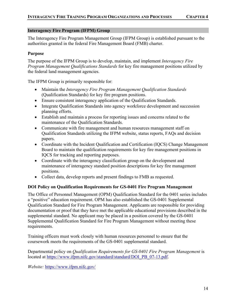## <span id="page-18-0"></span>**Interagency Fire Program (IFPM) Group**

The Interagency Fire Program Management Group (IFPM Group) is established pursuant to the authorities granted in the federal Fire Management Board (FMB) charter.

## <span id="page-18-1"></span>**Purpose**

The purpose of the IFPM Group is to develop, maintain, and implement *Interagency Fire Program Management Qualifications Standards* for key fire management positions utilized by the federal land management agencies.

The IFPM Group is primarily responsible for:

- Maintain the *Interagency Fire Program Management Qualification Standards*  (Qualification Standards) for key fire program positions.
- Ensure consistent interagency application of the Qualification Standards.
- Integrate Qualification Standards into agency workforce development and succession planning efforts.
- Establish and maintain a process for reporting issues and concerns related to the maintenance of the Qualification Standards.
- Communicate with fire management and human resources management staff on Qualification Standards utilizing the IFPM website, status reports, FAQs and decision papers.
- Coordinate with the Incident Qualification and Certification (IQCS) Change Management Board to maintain the qualification requirements for key fire management positions in IQCS for tracking and reporting purposes.
- Coordinate with the interagency classification group on the development and maintenance of interagency standard position descriptions for key fire management positions.
- Collect data, develop reports and present findings to FMB as requested.

## <span id="page-18-2"></span>**DOI Policy on Qualification Requirements for GS-0401 Fire Program Management**

The Office of Personnel Management (OPM) Qualification Standard for the 0401 series includes a "positive" education requirement. OPM has also established the GS-0401 Supplemental Qualification Standard for Fire Program Management. Applicants are responsible for providing documentation or proof that they have met the applicable educational provisions described in the supplemental standard. No applicant may be placed in a position covered by the GS-0401 Supplemental Qualification Standard for Fire Program Management without meeting these requirements.

Training officers must work closely with human resources personnel to ensure that the coursework meets the requirements of the GS-0401 supplemental standard.

Departmental policy on *Qualification Requirements for GS-0401 Fire Program Management* is located at [https://www.ifpm.nifc.gov/standard/standard/DOI\\_PB\\_07-13.pdf.](https://www.ifpm.nifc.gov/standard/standard/DOI_PB_07-13.pdf)

*Website:* <https://www.ifpm.nifc.gov/>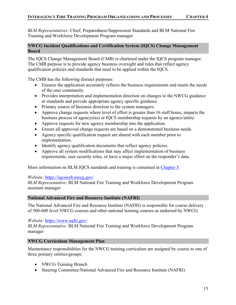*BLM Representatives:* Chief, Preparedness/Suppression Standards and BLM National Fire Training and Workforce Development Program manager

## <span id="page-19-0"></span>**NWCG Incident Qualifications and Certification System (IQCS) Change Management Board**

The IQCS Change Management Board (CMB) is chartered under the IQCS program manager. The CMB purpose is to provide agency business oversight and rules that reflect agency qualification policies and standards that need to be applied within the IQCS.

The CMB has the following distinct purposes:

- Ensures the application accurately reflects the business requirements and meets the needs of the user community.
- Provides interpretation and implementation direction on changes to the NWCG guidance or standards and provide appropriate agency specific guidance.
- Primary source of business direction to the system managers.
- Approve change requests where level of effort is greater than 16 staff hours, impacts the business process of agency(ies) or IQCS membership requests by an agency/entity.
- Approve requests for new agency membership into the application.
- Ensure all approved change requests are based on a demonstrated business needs.
- Agency specific qualification request are shared with each member prior to implementation.
- Identify agency qualification documents that reflect agency policies.
- Approve all system modifications that may affect implementation of business requirements, user security roles, or have a major effect on the responder's data.

More information on BLM IQCS standards and training is contained in [Chapter 5.](#page-21-1)

## *Website:* <https://iqcsweb.nwcg.gov/>

*BLM Representative:* BLM National Fire Training and Workforce Development Program assistant manager

## <span id="page-19-1"></span>**National Advanced Fire and Resource Institute (NAFRI)**

The National Advanced Fire and Resource Institute (NAFRI) is responsible for course delivery of 500-600 level NWCG courses and other national training courses as endorsed by NWCG.

*Website:* <https://www.nafri.gov/>

*BLM Representative:* BLM National Fire Training and Workforce Development Program manager

## <span id="page-19-2"></span>**NWCG Curriculum Management Plan**

Maintenance responsibilities for the NWCG training curriculum are assigned by course to one of three primary entities/groups:

- NWCG Training Branch
- Steering Committee/National Advanced Fire and Resource Institute (NAFRI)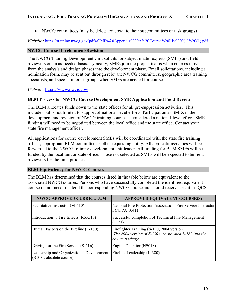• NWCG committees (may be delegated down to their subcommittees or task groups)

*Website:* [https://training.nwcg.gov/pdfs/CMP%20Appendix%20A%20Course%20List%20\(1\)%20\(1\).pdf](https://training.nwcg.gov/pdfs/CMP%20Appendix%20A%20Course%20List%20(1)%20(1).pdf)

## <span id="page-20-0"></span>**NWCG Course Development/Revision**

The NWCG Training Development Unit solicits for subject matter experts (SMEs) and field reviewers on an as-needed basis. Typically, SMEs join the project teams when courses move from the analysis and design phases into the development phase. Email solicitations, including a nomination form, may be sent out through relevant NWCG committees, geographic area training specialists, and special interest groups when SMEs are needed for courses.

*Website:* <https://www.nwcg.gov/>

## <span id="page-20-1"></span>**BLM Process for NWCG Course Development SME Application and Field Review**

The BLM allocates funds down to the state offices for all pre-suppression activities. This includes but is not limited to support of national-level efforts. Participation as SMEs in the development and revision of NWCG training courses is considered a national-level effort. SME funding will need to be negotiated between the local office and the state office. Contact your state fire management officer.

All applications for course development SMEs will be coordinated with the state fire training officer, appropriate BLM committee or other requesting entity. All applications/names will be forwarded to the NWCG training development unit leader. All funding for BLM SMEs will be funded by the local unit or state office. Those not selected as SMEs will be expected to be field reviewers for the final product.

## <span id="page-20-2"></span>**BLM Equivalency for NWCG Courses**

The BLM has determined that the courses listed in the table below are equivalent to the associated NWCG courses. Persons who have successfully completed the identified equivalent course do not need to attend the corresponding NWCG course and should receive credit in IQCS.

<span id="page-20-3"></span>

| <b>NWCG-APPROVED CURRICULUM</b>                                       | <b>APPROVED EQUIVALENT COURSE(S)</b>                                                                                    |
|-----------------------------------------------------------------------|-------------------------------------------------------------------------------------------------------------------------|
| Facilitative Instructor (M-410)                                       | National Fire Protection Association, Fire Service Instructor<br>I (NFPA 1041)                                          |
| Introduction to Fire Effects (RX-310)                                 | Successful completion of Technical Fire Management<br>(TFM)                                                             |
| Human Factors on the Fireline (L-180)                                 | Firefighter Training (S-130, 2004 version).<br>The 2004 version of S-130 incorporated L-180 into the<br>course package. |
| Driving for the Fire Service (S-216)                                  | Engine Operator (N9018)                                                                                                 |
| Leadership and Organizational Development<br>(S-301, obsolete course) | Fireline Leadership (L-380)                                                                                             |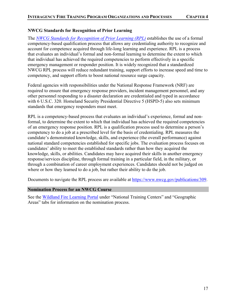## **NWCG Standards for Recognition of Prior Learning**

The *[NWCG Standards for Recognition of Prior Learning \(RPL\)](https://www.nwcg.gov/sites/default/files/publications/pms309.pdf)* establishes the use of a formal competency-based qualification process that allows any credentialing authority to recognize and account for competence acquired through life-long learning and experience. RPL is a process that evaluates an individual's formal and non-formal learning to determine the extent to which that individual has achieved the required competencies to perform effectively in a specific emergency management or responder position. It is widely recognized that a standardized NWCG RPL process will reduce redundant training, support efforts to increase speed and time to competency, and support efforts to boost national resource surge capacity.

Federal agencies with responsibilities under the National Response Framework (NRF) are required to ensure that emergency response providers, incident management personnel, and any other personnel responding to a disaster declaration are credentialed and typed in accordance with 6 U.S.C. 320. Homeland Security Presidential Directive 5 (HSPD-5) also sets minimum standards that emergency responders must meet.

RPL is a competency-based process that evaluates an individual's experience, formal and nonformal, to determine the extent to which that individual has achieved the required competencies of an emergency response position. RPL is a qualification process used to determine a person's competency to do a job at a prescribed level for the basis of credentialing. RPL measures the candidate's demonstrated knowledge, skills, and experience (the overall performance) against national standard competencies established for specific jobs. The evaluation process focuses on candidates' ability to meet the established standards rather than how they acquired the knowledge, skills, or abilities. Candidates may have acquired their skills in another emergency response/services discipline, through formal training in a particular field, in the military, or through a combination of career employment experiences. Candidates should not be judged on where or how they learned to do a job, but rather their ability to do the job.

Documents to navigate the RPL process are available at [https://www.nwcg.gov/publications/309.](https://www.nwcg.gov/publications/309)

## <span id="page-21-0"></span>**Nomination Process for an NWCG Course**

<span id="page-21-1"></span>See the [Wildland Fire Learning Portal](https://wildlandfirelearningportal.net/) under "National Training Centers" and "Geographic Areas" tabs for information on the nomination process.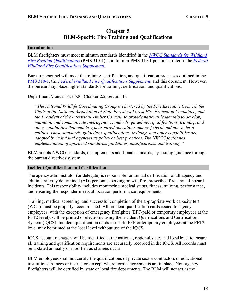## **Chapter 5 BLM-Specific Fire Training and Qualifications**

#### <span id="page-22-1"></span><span id="page-22-0"></span>**Introduction**

BLM firefighters must meet minimum standards identified in the *[NWCG Standards for Wildland](https://www.nwcg.gov/publications/310-1)  [Fire Position Qualifications](https://www.nwcg.gov/publications/310-1)* (PMS 310-1), and for non-PMS 310-1 positions, refer to the *[Federal](https://iqcsweb.nwcg.gov/sites/default/files/documents/FedSupplement_2022.pdf)  [Wildland Fire Qualifications Supplement.](https://iqcsweb.nwcg.gov/sites/default/files/documents/FedSupplement_2022.pdf)*

Bureau personnel will meet the training, certification, and qualification processes outlined in the [PMS 310-1,](https://www.nwcg.gov/publications/310-1) the *[Federal Wildland Fire Qualifications Supplement](https://iqcsweb.nwcg.gov/sites/default/files/documents/FedSupplement_2022.pdf)*, and this document. However, the bureau may place higher standards for training, certification, and qualifications.

Department Manual Part 620, Chapter 2.2, Section E:

*"The National Wildlife Coordinating Group is chartered by the Fire Executive Council, the Chair of the National Association of State Foresters Forest Fire Protection Committee, and the President of the Intertribal Timber Council, to provide national leadership to develop, maintain, and communicate interagency standards, guidelines, qualifications, training, and other capabilities that enable synchronized operations among federal and non-federal entities. These standards, guidelines, qualifications, training, and other capabilities are adopted by individual agencies as policy or best practices. The NWCG facilitates implementation of approved standards, guidelines, qualifications, and training*."

BLM adopts NWCG standards, or implements additional standards, by issuing guidance through the bureau directives system.

## <span id="page-22-2"></span>**Incident Qualification and Certification**

The agency administrator (or delegate) is responsible for annual certification of all agency and administratively determined (AD) personnel serving on wildfire, prescribed fire, and all-hazard incidents. This responsibility includes monitoring medical status, fitness, training, performance, and ensuring the responder meets all position performance requirements.

Training, medical screening, and successful completion of the appropriate work capacity test (WCT) must be properly accomplished. All incident qualification cards issued to agency employees, with the exception of emergency firefighter (EFF-paid or temporary employees at the FFT2 level), will be printed or electronic using the Incident Qualifications and Certification System (IQCS). Incident qualification cards issued to EFF or temporary employees at the FFT2 level may be printed at the local level without use of the IQCS.

IQCS account managers will be identified at the national, regional/state, and local level to ensure all training and qualification requirements are accurately recorded in the IQCS. All records must be updated annually or modified as changes occur.

BLM employees shall not certify the qualifications of private sector contractors or educational institutions trainees or instructors except where formal agreements are in place. Non-agency firefighters will be certified by state or local fire departments. The BLM will not act as the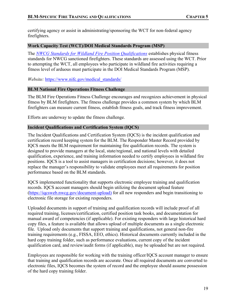certifying agency or assist in administrating/sponsoring the WCT for non-federal agency firefighters.

## <span id="page-23-0"></span>**Work Capacity Test (WCT)/DOI Medical Standards Program (MSP)**

The *[NWCG Standards for Wildland Fire Position Qualifications](https://www.nwcg.gov/publications/310-1)* establishes physical fitness standards for NWCG sanctioned firefighters. These standards are assessed using the WCT. Prior to attempting the WCT, all employees who participate in wildland fire activities requiring a fitness level of arduous must participate in the DOI Medical Standards Program (MSP).

*Website:* [https://www.nifc.gov/medical\\_standards/](https://www.nifc.gov/medical_standards/)

## <span id="page-23-1"></span>**BLM National Fire Operations Fitness Challenge**

The BLM Fire Operations Fitness Challenge encourages and recognizes achievement in physical fitness by BLM firefighters. The fitness challenge provides a common system by which BLM firefighters can measure current fitness, establish fitness goals, and track fitness improvement.

Efforts are underway to update the fitness challenge.

## <span id="page-23-2"></span>**Incident Qualifications and Certification System (IQCS)**

The Incident Qualifications and Certification System (IQCS) is the incident qualification and certification record keeping system for the BLM. The Responder Master Record provided by IQCS meets the BLM requirement for maintaining fire qualification records. The system is designed to provide managers at the local, state/regional, and national levels with detailed qualification, experience, and training information needed to certify employees in wildland fire positions. IQCS is a tool to assist managers in certification decisions; however, it does not replace the manager's responsibility to validate employees meet all requirements for position performance based on the BLM standards.

IQCS implemented functionality that supports electronic employee training and qualification records. IQCS account managers should begin utilizing the document upload feature [\(https://iqcsweb.nwcg.gov/document-upload\)](https://iqcsweb.nwcg.gov/document-upload) for all new responders and begin transitioning to electronic file storage for existing responders.

Uploaded documents in support of training and qualification records will include proof of all required training, licenses/certification, certified position task books, and documentation for manual award of competencies (if applicable). For existing responders with large historical hard copy files, a feature is available that allows upload of multiple documents as a single electronic file. Upload only documents that support training and qualifications, not general non-fire training requirements (e.g., FISSA, EEO, ethics). Historical documents currently included in the hard copy training folder, such as performance evaluations, current copy of the incident qualification card, and review/audit forms (if applicable), may be uploaded but are not required.

Employees are responsible for working with the training officer/IQCS account manager to ensure that training and qualification records are accurate. Once all required documents are converted to electronic files, IQCS becomes the system of record and the employee should assume possession of the hard copy training folder.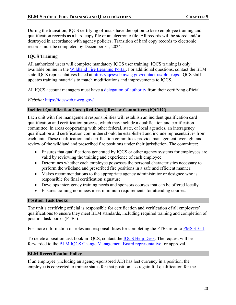During the transition, IQCS certifying officials have the option to keep employee training and qualification records as a hard copy file or an electronic file. All records will be stored and/or destroyed in accordance with agency policies. Transition of hard copy records to electronic records must be completed by December 31, 2024.

## <span id="page-24-0"></span>**IQCS Training**

All authorized users will complete mandatory IQCS user training. IQCS training is only available online in the [Wildland Fire Learning Portal.](https://wildlandfirelearningportal.net/) For additional questions, contact the BLM state IQCS representatives listed at [https://iqcsweb.nwcg.gov/contact-us/blm-reps.](https://iqcsweb.nwcg.gov/contact-us/blm-reps) IQCS staff updates training materials to match modifications and improvements to IQCS.

All IQCS account managers must have a [delegation of authority](https://iqcsweb.nwcg.gov/sites/default/files/2017-12/delegation_of_authority.pdf) from their certifying official.

*Website:* <https://iqcsweb.nwcg.gov/>

## <span id="page-24-1"></span>**Incident Qualification Card (Red Card) Review Committees (IQCRC)**

Each unit with fire management responsibilities will establish an incident qualification card qualification and certification process, which may include a qualification and certification committee. In areas cooperating with other federal, state, or local agencies, an interagency qualification and certification committee should be established and include representatives from each unit. These qualification and certification committees provide management oversight and review of the wildland and prescribed fire positions under their jurisdiction. The committee:

- Ensures that qualifications generated by IQCS or other agency systems for employees are valid by reviewing the training and experience of each employee.
- Determines whether each employee possesses the personal characteristics necessary to perform the wildland and prescribed fire positions in a safe and efficient manner.
- Makes recommendations to the appropriate agency administrator or designee who is responsible for final certification signature.
- Develops interagency training needs and sponsors courses that can be offered locally.
- Ensures training nominees meet minimum requirements for attending courses.

## <span id="page-24-2"></span>**Position Task Books**

The unit's certifying official is responsible for certification and verification of all employees' qualifications to ensure they meet BLM standards, including required training and completion of position task books (PTBs).

For more information on roles and responsibilities for completing the PTBs refer to [PMS 310-1.](https://www.nwcg.gov/publications/310-1)

To delete a position task book in IQCS, contact the [IQCS Help Desk.](https://iqcsweb.nwcg.gov/node/93) The request will be forwarded to the [BLM IQCS Change Management Board representative](https://iqcsweb.nwcg.gov/contact-us/cmb-reps) for approval.

## <span id="page-24-3"></span>**BLM Recertification Policy**

If an employee (including an agency-sponsored AD) has lost currency in a position, the employee is converted to trainee status for that position. To regain full qualification for the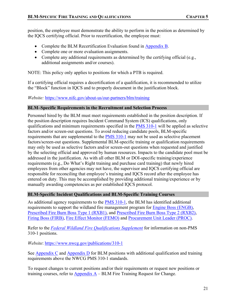position, the employee must demonstrate the ability to perform in the position as determined by the IQCS certifying official. Prior to recertification, the employee must:

- Complete the BLM Recertification Evaluation found in [Appendix B.](#page-29-0)
- Complete one or more evaluation assignments.
- Complete any additional requirements as determined by the certifying official (e.g., additional assignments and/or courses).

NOTE: This policy only applies to positions for which a PTB is required.

If a certifying official requires a decertification of a qualification, it is recommended to utilize the "Block" function in IQCS and to properly document in the justification block.

*Website:* https://www.nifc.gov/about-us/our-partners/blm/training

## <span id="page-25-0"></span>**BLM–Specific Requirements in the Recruitment and Selection Process**

Personnel hired by the BLM must meet requirements established in the position description. If the position description requires Incident Command System (ICS) qualifications, only qualifications and minimum requirements specified in the [PMS 310-1](https://www.nwcg.gov/publications/310-1) will be applied as selective factors and/or screen-out questions. To avoid reducing candidate pools, BLM-specific requirements that are supplemental to the [PMS 310-1](https://www.nwcg.gov/publications/310-1) may not be used as selective placement factors/screen-out questions. Supplemental BLM-specific training or qualification requirements may only be used as selective factors and/or screen-out questions when requested and justified by the selecting official and approved by human resources. Impacts to the candidate pool must be addressed in the justification. As with all other BLM or DOI-specific training/experience requirements (e.g., Do What's Right training and purchase card training) that newly hired employees from other agencies may not have, the supervisor and IQCS certifying official are responsible for reconciling that employee's training and IQCS record after the employee has entered on duty. This may be accomplished by providing additional training/experience or by manually awarding competencies as per established IQCS protocol.

## <span id="page-25-1"></span>**BLM-Specific Incident Qualifications and BLM-Specific Training Courses**

As additional agency requirements to the [PMS 310-1,](https://www.nwcg.gov/publications/310-1) the BLM has identified additional requirements to support the wildland fire management program for [Engine Boss \(ENGB\),](#page-31-1) [Prescribed Fire Burn Boss Type 1 \(RXB1\),](#page-34-0) and [Prescribed Fire Burn Boss Type 2 \(RXB2\),](#page-35-0) [Firing Boss \(FIRB\),](#page-36-0) [Fire Effect Monitor \(FEMO\)](#page-37-0) and [Procurement Unit Leader \(PROC\).](#page-38-0)

Refer to the *[Federal Wildland Fire Qualifications](https://iqcsweb.nwcg.gov/sites/default/files/documents/FedSupplement_2022.pdf) Supplement* for information on non-PMS 310-1 positions.

*Website*: <https://www.nwcg.gov/publications/310-1>

See [Appendix](#page-31-0) C and [Appendix D](#page-40-0) for BLM positions with additional qualification and training requirements above the NWCG PMS 310-1 standards.

To request changes to current positions and/or their requirements or request new positions or training courses, refer to Appendix  $A - BLM$  Fire Training Request for Change.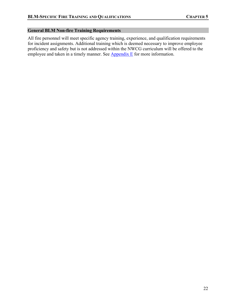## <span id="page-26-0"></span>**General BLM Non-fire Training Requirements**

All fire personnel will meet specific agency training, experience, and qualification requirements for incident assignments. Additional training which is deemed necessary to improve employee proficiency and safety but is not addressed within the NWCG curriculum will be offered to the employee and taken in a timely manner. See  $\Delta$ ppendix E</u> for more information.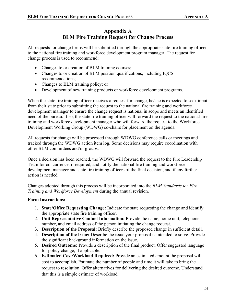## **Appendix A BLM Fire Training Request for Change Process**

<span id="page-27-1"></span><span id="page-27-0"></span>All requests for change forms will be submitted through the appropriate state fire training officer to the national fire training and workforce development program manager. The request for change process is used to recommend:

- Changes to or creation of BLM training courses;
- Changes to or creation of BLM position qualifications, including IQCS recommendations;
- Changes to BLM training policy; or
- Development of new training products or workforce development programs.

When the state fire training officer receives a request for change, he/she is expected to seek input from their state prior to submitting the request to the national fire training and workforce development manager to ensure the change request is national in scope and meets an identified need of the bureau. If so, the state fire training officer will forward the request to the national fire training and workforce development manager who will forward the request to the Workforce Development Working Group (WDWG) co-chairs for placement on the agenda.

All requests for change will be processed through WDWG conference calls or meetings and tracked through the WDWG action item log. Some decisions may require coordination with other BLM committees and/or groups.

Once a decision has been reached, the WDWG will forward the request to the Fire Leadership Team for concurrence, if required, and notify the national fire training and workforce development manager and state fire training officers of the final decision, and if any further action is needed.

Changes adopted through this process will be incorporated into the *BLM Standards for Fire Training and Workforce Development* during the annual revision.

## **Form Instructions:**

- 1. **State/Office Requesting Change:** Indicate the state requesting the change and identify the appropriate state fire training officer.
- 2. **Unit Representative Contact Information:** Provide the name, home unit, telephone number, and email address of the person initiating the change request.
- 3. **Description of the Proposal:** Briefly describe the proposed change in sufficient detail.
- 4. **Description of the Issue:** Describe the issue your proposal is intended to solve. Provide the significant background information on the issue.
- 5. **Desired Outcome:** Provide a description of the final product. Offer suggested language for policy change, if applicable.
- 6. **Estimated Cost/Workload Required:** Provide an estimated amount the proposal will cost to accomplish. Estimate the number of people and time it will take to bring the request to resolution. Offer alternatives for delivering the desired outcome. Understand that this is a simple estimate of workload.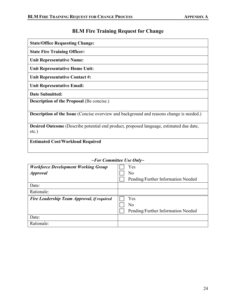# **BLM Fire Training Request for Change**

| <b>State/Office Requesting Change:</b>                                                                     |
|------------------------------------------------------------------------------------------------------------|
| <b>State Fire Training Officer:</b>                                                                        |
| <b>Unit Representative Name:</b>                                                                           |
| <b>Unit Representative Home Unit:</b>                                                                      |
| Unit Representative Contact #:                                                                             |
| <b>Unit Representative Email:</b>                                                                          |
| <b>Date Submitted:</b>                                                                                     |
| <b>Description of the Proposal (Be concise.)</b>                                                           |
| <b>Description of the Issue</b> (Concise overview and background and reasons change is needed.)            |
| <b>Desired Outcome</b> (Describe potential end product, proposed language, estimated due date,<br>$etc.$ ) |
| <b>Estimated Cost/Workload Required</b>                                                                    |

## *~For Committee Use Only~*

| <b>Workforce Development Working Group</b> | Yes                                |
|--------------------------------------------|------------------------------------|
| <b>Approval</b>                            | No                                 |
|                                            | Pending/Further Information Needed |
| Date:                                      |                                    |
| Rationale:                                 |                                    |
| Fire Leadership Team Approval, if required | Yes                                |
|                                            | No                                 |
|                                            | Pending/Further Information Needed |
|                                            |                                    |
| Date:                                      |                                    |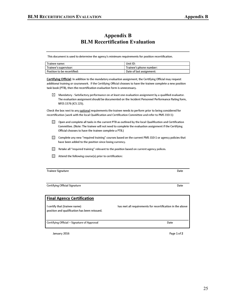## **Appendix B BLM Recertification Evaluation**

<span id="page-29-0"></span>This document is used to determine the agency's minimum requirements for position recertification.

| Trainee name:               | Unit ID:                 |
|-----------------------------|--------------------------|
| Trainee's supervisor:       | Trainee's phone number:  |
| Position to be recertified: | Date of last assignment: |

Certifying Official: In addition to the mandatory evaluation assignment, the Certifying Official may request additional training or coursework. If the Certifying Official chooses to have the trainee complete a new position task book (PTB), then the recertification evaluation form is unnecessary.

 $\boxtimes$  Mandatory - Satisfactory performance on at least one evaluation assignment by a qualified evaluator. The evaluation assignment should be documented on the Incident Personnel Performance Rating form, NFES 1576 (ICS 225).

Check the box next to any optional requirements the trainee needs to perform prior to being considered for recertification (work with the local Qualification and Certification Committee and refer to PMS 310-1):

- $\left[\begin{smallmatrix} 1 & 1 \\ 1 & 1 \end{smallmatrix}\right]$ Open and complete all tasks in the current PTB as outlined by the local Qualification and Certification Committee. (Note: The trainee will not need to complete the evaluation assignment if the Certifying Official chooses to have the trainee complete a PTB.)
- T Complete any new "required training" courses based on the current PMS 310-1 or agency policies that have been added to the position since losing currency.
- □ Retake all "required training" relevant to the position based on current agency polices.
- $\Box$ Attend the following course(s) prior to certification:

**Trainee Signature** 

Certifying Official Signature

| <b>Final Agency Certification</b>                                              |                                                           |
|--------------------------------------------------------------------------------|-----------------------------------------------------------|
| I certify that (trainee name)<br>position and qualification has been reissued. | has met all requirements for recertification in the above |
| Certifying Official – Signature of Approval                                    | Date                                                      |
|                                                                                |                                                           |

January 2016

Page 1 of 2

Date

Date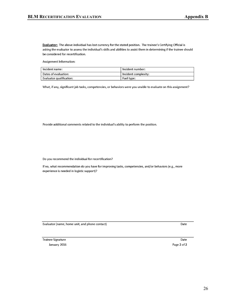Evaluator: The above individual has lost currency for the stated position. The trainee's Certifying Official is asking the evaluator to assess the individual's skills and abilities to assist them in determining if the trainee should be considered for recertification.

Assignment Information:

| Incident name:                                | Incident number:     |  |
|-----------------------------------------------|----------------------|--|
| Dates of evaluation:                          | Incident complexity: |  |
| $\mathop{\mathsf{Fval}}$ uator qualification: | Fuel type:           |  |

What, if any, significant job tasks, competencies, or behaviors were you unable to evaluate on this assignment?

Provide additional comments related to the individual's ability to perform the position.

Do you recommend the individual for recertification?

If no, what recommendation do you have for improving tasks, competencies, and/or behaviors (e.g., more experience is needed in logistic support)?

Evaluator (name, home unit, and phone contact)

Trainee Signature January 2016 Date

Date Page 2 of 2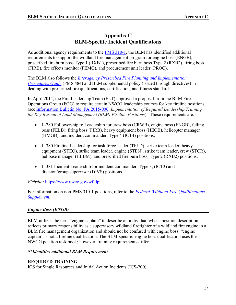## **Appendix C BLM-Specific Incident Qualifications**

<span id="page-31-0"></span>As additional agency requirements to the **PMS 310-1**, the BLM has identified additional requirements to support the wildland fire management program for engine boss (ENGB), prescribed fire burn boss Type 1 (RXB1), prescribed fire burn boss Type 2 (RXB2), firing boss (FIRB), fire effects monitor (FEMO), and procurement unit leader (PROC).

The BLM also follows the *[Interagency Prescribed Fire Planning and Implementation](https://www.nwcg.gov/tags/pms-484)  [Procedures Guide](https://www.nwcg.gov/tags/pms-484)* (PMS 484) and BLM supplemental policy (issued through directives) in dealing with prescribed fire qualifications, certification, and fitness standards.

In April 2014, the Fire Leadership Team (FLT) approved a proposal from the BLM Fire Operations Group (FOG) to require certain NWCG leadership courses for key fireline positions (see [Information Bulletin No. FA 2015-006,](https://doimspp.sharepoint.com/sites/blm-fa/Directives/Forms/AllItems.aspx?id=%2Fsites%2Fblm%2Dfa%2FDirectives%2F2010IM%2FFAIM2010009a1%2Epdf&parent=%2Fsites%2Fblm%2Dfa%2FDirectives%2F2010IM) *Implementation of Required Leadership Training for Key Bureau of Land Management (BLM) Fireline Positions*). These requirements are:

- L-280 Followership to Leadership for crew boss (CRWB), engine boss (ENGB), felling boss (FELB), firing boss (FIRB), heavy equipment boss (HEQB), helicopter manager (HMGB), and incident commander, Type 4 (ICT4) positions;
- L-380 Fireline Leadership for task force leader (TFLD), strike team leader, heavy equipment (STEQ), strike team leader, engine (STEN), strike team leader, crew (STCR), helibase manager (HEBM), and prescribed fire burn boss, Type 2 (RXB2) positions;
- L-381 Incident Leadership for incident commander, Type 3, (ICT3) and division/group supervisor (DIVS) positions.

*Website:* <https://www.nwcg.gov/wfldp>

For information on non-PMS 310-1 positions, refer to the *[Federal Wildland Fire Qualifications](https://iqcsweb.nwcg.gov/sites/default/files/documents/FedSupplement_2022.pdf) [Supplement.](https://iqcsweb.nwcg.gov/sites/default/files/documents/FedSupplement_2022.pdf)*

## <span id="page-31-1"></span>*Engine Boss (ENGB)*

BLM utilizes the term "engine captain" to describe an individual whose position description reflects primary responsibility as a supervisory wildland firefighter of a wildland fire engine in a BLM fire management organization and should not be confused with engine boss. "engine captain" is not a fireline qualification. The BLM-specific engine boss qualification uses the NWCG position task book; however, training requirements differ.

## *\*\*Identifies additional BLM Requirement*

## **REQUIRED TRAINING**

ICS for Single Resources and Initial Action Incidents (ICS-200)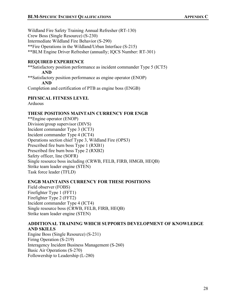Wildland Fire Safety Training Annual Refresher (RT-130) Crew Boss (Single Resource) (S-230) Intermediate Wildland Fire Behavior (S-290) \*\*Fire Operations in the Wildland/Urban Interface (S-215) \*\*BLM Engine Driver Refresher (annually; IQCS Number: RT-301)

## **REQUIRED EXPERIENCE**

\*\*Satisfactory position performance as incident commander Type 5 (ICT5) **AND** \*\*Satisfactory position performance as engine operator (ENOP) **AND** Completion and certification of PTB as engine boss (ENGB)

## **PHYSICAL FITNESS LEVEL**

Arduous

## **THESE POSITIONS MAINTAIN CURRENCY FOR ENGB**

\*\*Engine operator (ENOP) Division/group supervisor (DIVS) Incident commander Type 3 (ICT3) Incident commander Type 4 (ICT4) Operations section chief Type 3, Wildland Fire (OPS3) Prescribed fire burn boss Type 1 (RXB1) Prescribed fire burn boss Type 2 (RXB2) Safety officer, line (SOFR) Single resource boss including (CRWB, FELB, FIRB, HMGB, HEQB) Strike team leader engine (STEN) Task force leader (TFLD)

## **ENGB MAINTAINS CURRENCY FOR THESE POSITIONS**

Field observer (FOBS) Firefighter Type 1 (FFT1) Firefighter Type 2 (FFT2) Incident commander Type 4 (ICT4) Single resource boss (CRWB, FELB, FIRB, HEQB) Strike team leader engine (STEN)

## **ADDITIONAL TRAINING WHICH SUPPORTS DEVELOPMENT OF KNOWLEDGE AND SKILLS**

Engine Boss (Single Resource) (S-231) Firing Operation (S-219) Interagency Incident Business Management (S-260) Basic Air Operations (S-270) Followership to Leadership (L-280)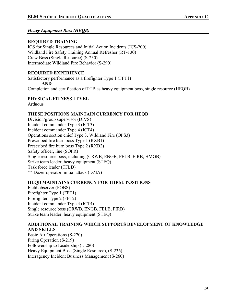## *Heavy Equipment Boss (HEQB)*

## **REQUIRED TRAINING**

ICS for Single Resources and Initial Action Incidents (ICS-200) Wildland Fire Safety Training Annual Refresher (RT-130) Crew Boss (Single Resource) (S-230) Intermediate Wildland Fire Behavior (S-290)

## **REQUIRED EXPERIENCE**

Satisfactory performance as a firefighter Type 1 (FFT1)

**AND**

Completion and certification of PTB as heavy equipment boss, single resource (HEQB)

## **PHYSICAL FITNESS LEVEL**

Arduous

## **THESE POSITIONS MAINTAIN CURRENCY FOR HEQB**

Division/group supervisor (DIVS) Incident commander Type 3 (ICT3) Incident commander Type 4 (ICT4) Operations section chief Type 3, Wildland Fire (OPS3) Prescribed fire burn boss Type 1 (RXB1) Prescribed fire burn boss Type 2 (RXB2) Safety officer, line (SOFR) Single resource boss, including (CRWB, ENGB, FELB, FIRB, HMGB) Strike team leader, heavy equipment (STEQ) Task force leader (TFLD) \*\* Dozer operator, initial attack (DZIA)

## **HEQB MAINTAINS CURRENCY FOR THESE POSITIONS**

Field observer (FOBS) Firefighter Type 1 (FFT1) Firefighter Type 2 (FFT2) Incident commander Type 4 (ICT4) Single resource boss (CRWB, ENGB, FELB, FIRB) Strike team leader, heavy equipment (STEQ)

## **ADDITIONAL TRAINING WHICH SUPPORTS DEVELOPMENT OF KNOWLEDGE AND SKILLS**

Basic Air Operations (S-270) Firing Operation (S-219) Followership to Leadership (L-280) Heavy Equipment Boss (Single Resource), (S-236) Interagency Incident Business Management (S-260)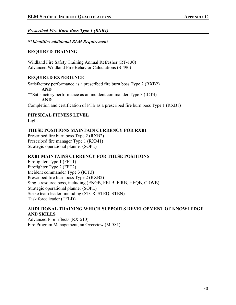## <span id="page-34-0"></span>*Prescribed Fire Burn Boss Type 1 (RXB1)*

## *\*\*Identifies additional BLM Requirement*

## **REQUIRED TRAINING**

Wildland Fire Safety Training Annual Refresher (RT-130) Advanced Wildland Fire Behavior Calculations (S-490)

## **REQUIRED EXPERIENCE**

Satisfactory performance as a prescribed fire burn boss Type 2 (RXB2) **AND** \*\*Satisfactory performance as an incident commander Type 3 (ICT3) **AND**

Completion and certification of PTB as a prescribed fire burn boss Type 1 (RXB1)

**PHYSICAL FITNESS LEVEL**

Light

## **THESE POSITIONS MAINTAIN CURRENCY FOR RXB1**

Prescribed fire burn boss Type 2 (RXB2) Prescribed fire manager Type 1 (RXM1) Strategic operational planner (SOPL)

## **RXB1 MAINTAINS CURRENCY FOR THESE POSITIONS**

Firefighter Type 1 (FFT1) Firefighter Type 2 (FFT2) Incident commander Type 3 (ICT3) Prescribed fire burn boss Type 2 (RXB2) Single resource boss, including (ENGB, FELB, FIRB, HEQB, CRWB) Strategic operational planner (SOPL) Strike team leader, including (STCR, STEQ, STEN) Task force leader (TFLD)

## **ADDITIONAL TRAINING WHICH SUPPORTS DEVELOPMENT OF KNOWLEDGE AND SKILLS**

Advanced Fire Effects (RX-510) Fire Program Management, an Overview (M-581)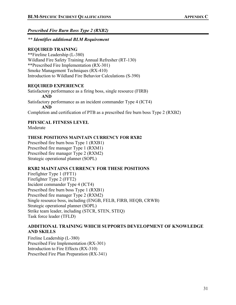<span id="page-35-0"></span>*Prescribed Fire Burn Boss Type 2 (RXB2)*

## *\*\* Identifies additional BLM Requirement*

## **REQUIRED TRAINING**

\*\*Fireline Leadership (L-380) Wildland Fire Safety Training Annual Refresher (RT-130) \*\*Prescribed Fire Implementation (RX-301) Smoke Management Techniques (RX-410) Introduction to Wildland Fire Behavior Calculations (S-390)

## **REQUIRED EXPERIENCE**

Satisfactory performance as a firing boss, single resource (FIRB) **AND** Satisfactory performance as an incident commander Type 4 (ICT4) **AND** Completion and certification of PTB as a prescribed fire burn boss Type 2 (RXB2)

## **PHYSICAL FITNESS LEVEL**

Moderate

## **THESE POSITIONS MAINTAIN CURRENCY FOR RXB2**

Prescribed fire burn boss Type 1 (RXB1) Prescribed fire manager Type 1 (RXM1) Prescribed fire manager Type 2 (RXM2) Strategic operational planner (SOPL)

## **RXB2 MAINTAINS CURRENCY FOR THESE POSITIONS**

Firefighter Type 1 (FFT1) Firefighter Type 2 (FFT2) Incident commander Type 4 (ICT4) Prescribed fire burn boss Type 1 (RXB1) Prescribed fire manager Type 2 (RXM2) Single resource boss, including (ENGB, FELB, FIRB, HEQB, CRWB) Strategic operational planner (SOPL) Strike team leader, including (STCR, STEN, STEQ) Task force leader (TFLD)

## **ADDITIONAL TRAINING WHICH SUPPORTS DEVELOPMENT OF KNOWLEDGE AND SKILLS**

Fireline Leadership (L-380) Prescribed Fire Implementation (RX-301) Introduction to Fire Effects (RX-310) Prescribed Fire Plan Preparation (RX-341)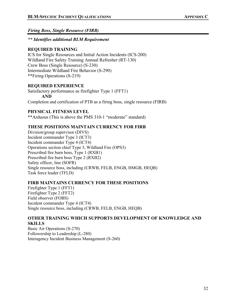<span id="page-36-0"></span>*Firing Boss, Single Resource (FIRB)*

*\*\* Identifies additional BLM Requirement*

## **REQUIRED TRAINING**

ICS for Single Resources and Initial Action Incidents (ICS-200) Wildland Fire Safety Training Annual Refresher (RT-130) Crew Boss (Single Resource) (S-230) Intermediate Wildland Fire Behavior (S-290) \*\*Firing Operations (S-219)

## **REQUIRED EXPERIENCE**

Satisfactory performance as firefighter Type 1 (FFT1) **AND**

Completion and certification of PTB as a firing boss, single resource (FIRB)

## **PHYSICAL FITNESS LEVEL**

\*\*Arduous (This is above the PMS 310-1 "moderate" standard)

## **THESE POSITIONS MAINTAIN CURRENCY FOR FIRB**

Division/group supervisor (DIVS) Incident commander Type 3 (ICT3) Incident commander Type 4 (ICT4) Operations section chief Type 3, Wildland Fire (OPS3) Prescribed fire burn boss, Type 1 (RXB1) Prescribed fire burn boss Type 2 (RXB2) Safety officer, line (SOFR) Single resource boss, including (CRWB, FELB, ENGB, HMGB, HEQB) Task force leader (TFLD)

## **FIRB MAINTAINS CURRENCY FOR THESE POSITIONS**

Firefighter Type 1 (FFT1) Firefighter Type 2 (FFT2) Field observer (FOBS) Incident commander Type 4 (ICT4) Single resource boss, including (CRWB, FELB, ENGB, HEQB)

## **OTHER TRAINING WHICH SUPPORTS DEVELOPMENT OF KNOWLEDGE AND SKILLS**

Basic Air Operations (S-270) Followership to Leadership (L-280) Interagency Incident Business Management (S-260)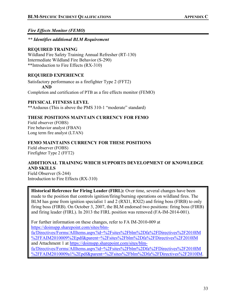## <span id="page-37-0"></span>*Fire Effects Monitor (FEMO)*

*\*\* Identifies additional BLM Requirement*

## **REQUIRED TRAINING**

Wildland Fire Safety Training Annual Refresher (RT-130) Intermediate Wildland Fire Behavior (S-290) \*\*Introduction to Fire Effects (RX-310)

## **REQUIRED EXPERIENCE**

Satisfactory performance as a firefighter Type 2 (FFT2) **AND** Completion and certification of PTB as a fire effects monitor (FEMO)

## **PHYSICAL FITNESS LEVEL**

\*\*Arduous (This is above the PMS 310-1 "moderate" standard)

## **THESE POSITIONS MAINTAIN CURRENCY FOR FEMO**

Field observer (FOBS) Fire behavior analyst (FBAN) Long term fire analyst (LTAN)

## **FEMO MAINTAINS CURRENCY FOR THESE POSITIONS**

Field observer (FOBS) Firefighter Type 2 (FFT2)

## **ADDITIONAL TRAINING WHICH SUPPORTS DEVELOPMENT OF KNOWLEDGE AND SKILLS**

Field Observer (S-244) Introduction to Fire Effects (RX-310)

**Historical Reference for Firing Leader (FIRL):** Over time, several changes have been made to the position that controls ignition/firing/burning operations on wildland fires. The BLM has gone from ignition specialist 1 and 2 (RXI1, RXI2) and firing boss (FIRB) to only firing boss (FIRB). On October 3, 2007, the BLM endorsed two positions: firing boss (FIRB) and firing leader (FIRL). In 2013 the FIRL position was removed (FA-IM-2014-001).

For further information on these changes, refer to FA IM-2010-009 at [https://doimspp.sharepoint.com/sites/blm-](https://doimspp.sharepoint.com/sites/blm-fa/Directives/Forms/AllItems.aspx?id=%2Fsites%2Fblm%2Dfa%2FDirectives%2F2010IM%2FFAIM2010009%2Epdf&parent=%2Fsites%2Fblm%2Dfa%2FDirectives%2F2010IM)

[fa/Directives/Forms/AllItems.aspx?id=%2Fsites%2Fblm%2Dfa%2FDirectives%2F2010IM](https://doimspp.sharepoint.com/sites/blm-fa/Directives/Forms/AllItems.aspx?id=%2Fsites%2Fblm%2Dfa%2FDirectives%2F2010IM%2FFAIM2010009%2Epdf&parent=%2Fsites%2Fblm%2Dfa%2FDirectives%2F2010IM) [%2FFAIM2010009%2Epdf&parent=%2Fsites%2Fblm%2Dfa%2FDirectives%2F2010IM](https://doimspp.sharepoint.com/sites/blm-fa/Directives/Forms/AllItems.aspx?id=%2Fsites%2Fblm%2Dfa%2FDirectives%2F2010IM%2FFAIM2010009%2Epdf&parent=%2Fsites%2Fblm%2Dfa%2FDirectives%2F2010IM) and Attachment 1 at [https://doimspp.sharepoint.com/sites/blm](https://doimspp.sharepoint.com/sites/blm-fa/Directives/Forms/AllItems.aspx?id=%2Fsites%2Fblm%2Dfa%2FDirectives%2F2010IM%2FFAIM2010009a1%2Epdf&parent=%2Fsites%2Fblm%2Dfa%2FDirectives%2F2010IM)[fa/Directives/Forms/AllItems.aspx?id=%2Fsites%2Fblm%2Dfa%2FDirectives%2F2010IM](https://doimspp.sharepoint.com/sites/blm-fa/Directives/Forms/AllItems.aspx?id=%2Fsites%2Fblm%2Dfa%2FDirectives%2F2010IM%2FFAIM2010009a1%2Epdf&parent=%2Fsites%2Fblm%2Dfa%2FDirectives%2F2010IM) [%2FFAIM2010009a1%2Epdf&parent=%2Fsites%2Fblm%2Dfa%2FDirectives%2F2010IM.](https://doimspp.sharepoint.com/sites/blm-fa/Directives/Forms/AllItems.aspx?id=%2Fsites%2Fblm%2Dfa%2FDirectives%2F2010IM%2FFAIM2010009a1%2Epdf&parent=%2Fsites%2Fblm%2Dfa%2FDirectives%2F2010IM)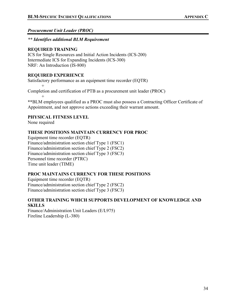## <span id="page-38-0"></span>*Procurement Unit Leader (PROC)*

## *\*\* Identifies additional BLM Requirement*

## **REQUIRED TRAINING**

ICS for Single Resources and Initial Action Incidents (ICS-200) Intermediate ICS for Expanding Incidents (ICS-300) NRF: An Introduction (IS-800)

## **REQUIRED EXPERIENCE**

Satisfactory performance as an equipment time recorder (EQTR)

 $^{+}$ Completion and certification of PTB as a procurement unit leader (PROC) +

**\*\***BLM employees qualified as a PROC must also possess a Contracting Officer Certificate of Appointment, and not approve actions exceeding their warrant amount.

## **PHYSICAL FITNESS LEVEL**

None required

## **THESE POSITIONS MAINTAIN CURRENCY FOR PROC**

Equipment time recorder (EQTR) Finance/administration section chief Type 1 (FSC1) Finance/administration section chief Type 2 (FSC2) Finance/administration section chief Type 3 (FSC3) Personnel time recorder (PTRC) Time unit leader (TIME)

## **PROC MAINTAINS CURRENCY FOR THESE POSITIONS**

Equipment time recorder (EQTR) Finance/administration section chief Type 2 (FSC2) Finance/administration section chief Type 3 (FSC3)

## **OTHER TRAINING WHICH SUPPORTS DEVELOPMENT OF KNOWLEDGE AND SKILLS**

Finance/Administration Unit Leaders (E/L975) Fireline Leadership (L-380)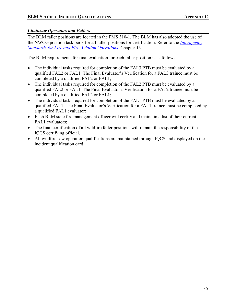## *Chainsaw Operators and Fallers*

The BLM faller positions are located in the PMS 310-1. The BLM has also adopted the use of the NWCG position task book for all faller positions for certification. Refer to the *[Interagency](https://www.nifc.gov/standards/guides/red-book)  [Standards for Fire and Fire Aviation Operations](https://www.nifc.gov/standards/guides/red-book)*, Chapter 13.

The BLM requirements for final evaluation for each faller position is as follows:

- The individual tasks required for completion of the FAL3 PTB must be evaluated by a qualified FAL2 or FAL1. The Final Evaluator's Verification for a FAL3 trainee must be completed by a qualified FAL2 or FAL1;
- The individual tasks required for completion of the FAL2 PTB must be evaluated by a qualified FAL2 or FAL1. The Final Evaluator's Verification for a FAL2 trainee must be completed by a qualified FAL2 or FAL1;
- The individual tasks required for completion of the FAL1 PTB must be evaluated by a qualified FAL1. The Final Evaluator's Verification for a FAL1 trainee must be completed by a qualified FAL1 evaluator;
- Each BLM state fire management officer will certify and maintain a list of their current FAL1 evaluators;
- The final certification of all wildfire faller positions will remain the responsibility of the IQCS certifying official.
- All wildfire saw operation qualifications are maintained through IOCS and displayed on the incident qualification card.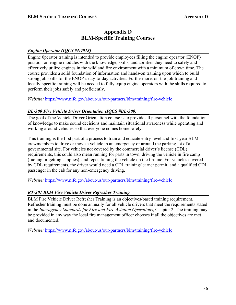## **Appendix D BLM-Specific Training Courses**

## <span id="page-40-0"></span>*Engine Operator (IQCS #N9018)*

Engine 0perator training is intended to provide employees filling the engine operator (ENOP) position on engine modules with the knowledge, skills, and abilities they need to safely and effectively utilize engines in the wildland fire environment with a minimum of down time. The course provides a solid foundation of information and hands-on training upon which to build strong job skills for the ENOP's day-to-day activities. Furthermore, on-the-job-training and locally-specific training will be needed to fully equip engine operators with the skills required to perform their jobs safely and proficiently.

*Website:* <https://www.nifc.gov/about-us/our-partners/blm/training/fire-vehicle>

## *BL-300 Fire Vehicle Driver Orientation (IQCS #BL-300)*

The goal of the Vehicle Driver Orientation course is to provide all personnel with the foundation of knowledge to make sound decisions and maintain situational awareness while operating and working around vehicles so that everyone comes home safely.

This training is the first part of a process to train and educate entry-level and first-year BLM crewmembers to drive or move a vehicle in an emergency or around the parking lot of a governmental site. For vehicles not covered by the commercial driver's license (CDL) requirements, this could also mean running for parts in town, driving the vehicle in fire camp (fueling or getting supplies), and repositioning the vehicle on the fireline. For vehicles covered by CDL requirements, the driver would need a CDL training/learner permit, and a qualified CDL passenger in the cab for any non-emergency driving.

*Website:* <https://www.nifc.gov/about-us/our-partners/blm/training/fire-vehicle>

## *RT-301 BLM Fire Vehicle Driver Refresher Training*

BLM Fire Vehicle Driver Refresher Training is an objectives-based training requirement. Refresher training must be done annually for all vehicle drivers that meet the requirements stated in the *Interagency Standards for Fire and Fire Aviation Operations*, Chapter 2. The training may be provided in any way the local fire management officer chooses if all the objectives are met and documented.

*Website:* <https://www.nifc.gov/about-us/our-partners/blm/training/fire-vehicle>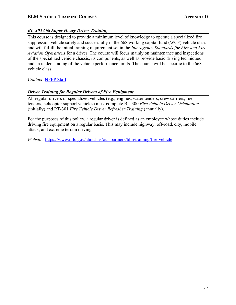## **BLM-SPECIFIC TRAINING COURSES APPENDIX D**

## *BL-303 668 Super Heavy Driver Training*

This course is designed to provide a minimum level of knowledge to operate a specialized fire suppression vehicle safely and successfully in the 668 working capital fund (WCF) vehicle class and will fulfill the initial training requirement set in the *Interagency Standards for Fire and Fire Aviation Operations* for a driver. The course will focus mainly on maintenance and inspections of the specialized vehicle chassis, its components, as well as provide basic driving techniques and an understanding of the vehicle performance limits. The course will be specific to the 668 vehicle class.

*Contact*: [NFEP Staff](https://doimspp.sharepoint.com/sites/blm-fa/fire-operations/SitePages/National-Fire-Equipment-Program-(NFEP).aspx)

## *Driver Training for Regular Drivers of Fire Equipment*

All regular drivers of specialized vehicles (e.g., engines, water tenders, crew carriers, fuel tenders, helicopter support vehicles) must complete BL-300 *Fire Vehicle Driver Orientation*  (initially) and RT-301 *Fire Vehicle Driver Refresher Training* (annually).

For the purposes of this policy, a regular driver is defined as an employee whose duties include driving fire equipment on a regular basis. This may include highway, off-road, city, mobile attack, and extreme terrain driving.

*Website:* <https://www.nifc.gov/about-us/our-partners/blm/training/fire-vehicle>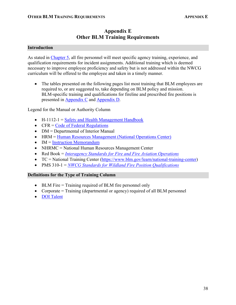## **Appendix E Other BLM Training Requirements**

#### <span id="page-42-0"></span>**Introduction**

As stated in [Chapter 5,](#page-21-1) all fire personnel will meet specific agency training, experience, and qualification requirements for incident assignments. Additional training which is deemed necessary to improve employee proficiency and safety but is not addressed within the NWCG curriculum will be offered to the employee and taken in a timely manner.

• The tables presented on the following pages list most training that BLM employees are required to, or are suggested to, take depending on BLM policy and mission. BLM-specific training and qualifications for fireline and prescribed fire positions is presented in [Appendix](#page-31-0) C and [Appendix D.](#page-40-0)

Legend for the Manual or Authority Column

- H-1112-1 = [Safety and Health Management Handbook](https://web.blm.gov/internal/wo-500/directives/dir-hdbk/h1112-1.pdf)
- $CFR = Code of Federal Reculations$
- DM = Departmental of Interior Manual
- HRM = [Human Resources Management \(National Operations Center\)](https://doimspp.sharepoint.com/sites/blm-oc/dhrs/Pages/HomePage.aspx)
- **IM** = [Instruction Memorandum](https://doimspp.sharepoint.com/sites/blm-fa/Directives/Forms/AllItems.aspx)
- NHRMC = National Human Resources Management Center
- Red Book = *[Interagency Standards for Fire and Fire Aviation Operations](https://www.nifc.gov/standards/guides/red-book)*
- TC = National Training Center [\(https://www.blm.gov/learn/national-training-center\)](https://www.blm.gov/learn/national-training-center)
- PMS 310-1 = *[NWCG Standards for Wildland Fire Position Qualifications](https://www.nwcg.gov/publications/310-1)*

## **Definitions for the Type of Training Column**

- BLM Fire = Training required of BLM fire personnel only
- Corporate = Training (departmental or agency) required of all BLM personnel
- [DOI Talent](https://www.doi.gov/doitalent)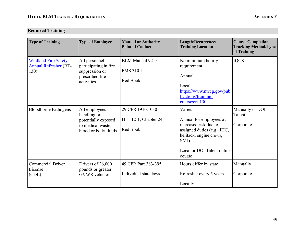## **Required Training**

| <b>Type of Training</b>                                             | <b>Type of Employee</b>                                                                          | <b>Manual or Authority</b><br><b>Point of Contact</b>  | Length/Recurrence/<br><b>Training Location</b>                                                                                                                       | <b>Course Completion</b><br><b>Tracking Method/Type</b><br>of Training |
|---------------------------------------------------------------------|--------------------------------------------------------------------------------------------------|--------------------------------------------------------|----------------------------------------------------------------------------------------------------------------------------------------------------------------------|------------------------------------------------------------------------|
| <b>Wildland Fire Safety</b><br><b>Annual Refresher (RT-</b><br>130) | All personnel<br>participating in fire<br>suppression or<br>prescribed fire<br>activities        | <b>BLM Manual 9215</b><br><b>PMS 310-1</b><br>Red Book | No minimum hourly<br>requirement<br>Annual<br>Local<br>https://www.nwcg.gov/pub<br>lications/training-<br>$\text{course/rt-130}$                                     | <b>IQCS</b>                                                            |
| <b>Bloodborne Pathogens</b>                                         | All employees<br>handling or<br>potentially exposed<br>to medical waste,<br>blood or body fluids | 29 CFR 1910.1030<br>H-1112-1, Chapter 24<br>Red Book   | Varies<br>Annual for employees at<br>increased risk due to<br>assigned duties (e.g., IHC,<br>helitack, engine crews,<br>SMJ)<br>Local or DOI Talent online<br>course | Manually or DOI<br>Talent<br>Corporate                                 |
| <b>Commercial Driver</b><br>License<br>(CDL)                        | Drivers of 26,000<br>pounds or greater<br><b>GVWR</b> vehicles                                   | 49 CFR Part 383-395<br>Individual state laws           | Hours differ by state<br>Refresher every 5 years<br>Locally                                                                                                          | Manually<br>Corporate                                                  |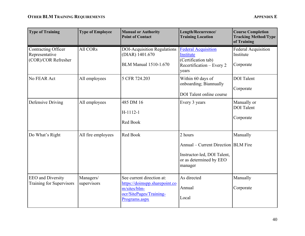| <b>Type of Training</b>                                             | <b>Type of Employee</b>  | <b>Manual or Authority</b><br><b>Point of Contact</b>                                                                  | Length/Recurrence/<br><b>Training Location</b>                                                                        | <b>Course Completion</b><br><b>Tracking Method/Type</b><br>of Training |
|---------------------------------------------------------------------|--------------------------|------------------------------------------------------------------------------------------------------------------------|-----------------------------------------------------------------------------------------------------------------------|------------------------------------------------------------------------|
| <b>Contracting Officer</b><br>Representative<br>(COR)/COR Refresher | All CORs                 | <b>DOI-Acquisition Regulations</b><br>(DIAR) 1401.670<br><b>BLM Manual 1510-1.670</b>                                  | <b>Federal Acquisition</b><br>Institute<br>(Certification tab)<br>Recertification – Every 2<br>years                  | Federal Acquisition<br>Institute<br>Corporate                          |
| No FEAR Act                                                         | All employees            | 5 CFR 724.203                                                                                                          | Within 60 days of<br>onboarding; Biannually<br>DOI Talent online course                                               | <b>DOI</b> Talent<br>Corporate                                         |
| Defensive Driving                                                   | All employees            | 485 DM 16<br>$H-1112-1$<br>Red Book                                                                                    | Every 3 years                                                                                                         | Manually or<br><b>DOI</b> Talent<br>Corporate                          |
| Do What's Right                                                     | All fire employees       | Red Book                                                                                                               | 2 hours<br>Annual – Current Direction   BLM Fire<br>Instructor-led, DOI Talent,<br>or as determined by EEO<br>manager | Manually                                                               |
| <b>EEO</b> and Diversity<br><b>Training for Supervisors</b>         | Managers/<br>supervisors | See current direction at:<br>https://doimspp.sharepoint.co<br>m/sites/blm-<br>ocr/SitePages/Training-<br>Programs.aspx | As directed<br>Annual<br>Local                                                                                        | Manually<br>Corporate                                                  |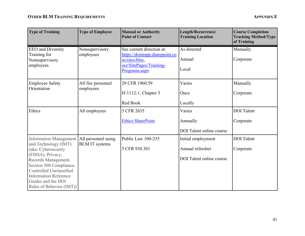| <b>Type of Training</b>                                                                                                                                                                                                                                          | <b>Type of Employee</b>                      | <b>Manual or Authority</b><br><b>Point of Contact</b>                                                                  | Length/Recurrence/<br><b>Training Location</b>                            | <b>Course Completion</b><br><b>Tracking Method/Type</b><br>of Training |
|------------------------------------------------------------------------------------------------------------------------------------------------------------------------------------------------------------------------------------------------------------------|----------------------------------------------|------------------------------------------------------------------------------------------------------------------------|---------------------------------------------------------------------------|------------------------------------------------------------------------|
| <b>EEO</b> and Diversity<br>Training for<br>Nonsupervisory<br>employees                                                                                                                                                                                          | Nonsupervisory<br>employees                  | See current direction at:<br>https://doimspp.sharepoint.co<br>m/sites/blm-<br>ocr/SitePages/Training-<br>Programs.aspx | As directed<br>Annual<br>Local                                            | Manually<br>Corporate                                                  |
| <b>Employee Safety</b><br>Orientation                                                                                                                                                                                                                            | All fire personnel<br>employees              | 29 CFR 1960.59<br>H-1112-1, Chapter 5<br>Red Book                                                                      | Varies<br>Once<br>Locally                                                 | Manually<br>Corporate                                                  |
| Ethics                                                                                                                                                                                                                                                           | All employees                                | 5 CFR 2635<br><b>Ethics SharePoint</b>                                                                                 | Varies<br>Annually<br>DOI Talent online course                            | <b>DOI</b> Talent<br>Corporate                                         |
| <b>Information Management</b><br>and Technology (IMT)<br>(aka: Cybersecurity<br>(FISSA), Privacy,<br>Records Management,<br>Section 508 Compliance,<br>Controlled Unclassified<br><b>Information Reference</b><br>Guides and the DOI<br>Rules of Behavior (IMT)) | All personnel using<br><b>BLM IT systems</b> | Public Law 100-235<br>5 CFR 930.301                                                                                    | Initial employment<br>Annual refresher<br><b>DOI</b> Talent online course | <b>DOI</b> Talent<br>Corporate                                         |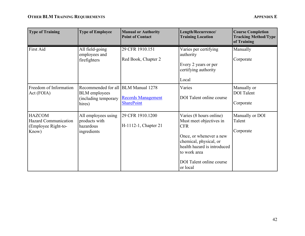| <b>Type of Training</b>                                               | <b>Type of Employee</b>                                                                       | <b>Manual or Authority</b><br><b>Point of Contact</b> | Length/Recurrence/<br><b>Training Location</b>                                                                                                                                                               | <b>Course Completion</b><br><b>Tracking Method/Type</b><br>of Training |
|-----------------------------------------------------------------------|-----------------------------------------------------------------------------------------------|-------------------------------------------------------|--------------------------------------------------------------------------------------------------------------------------------------------------------------------------------------------------------------|------------------------------------------------------------------------|
| First Aid                                                             | All field-going<br>employees and<br>firefighters                                              | 29 CFR 1910.151<br>Red Book, Chapter 2                | Varies per certifying<br>authority<br>Every 2 years or per<br>certifying authority<br>Local                                                                                                                  | Manually<br>Corporate                                                  |
| Freedom of Information<br>Act (FOIA)                                  | Recommended for all BLM Manual 1278<br><b>BLM</b> employees<br>(including temporary<br>hires) | <b>Records Management</b><br><b>SharePoint</b>        | Varies<br>DOI Talent online course                                                                                                                                                                           | Manually or<br><b>DOI</b> Talent<br>Corporate                          |
| <b>HAZCOM</b><br>Hazard Communication<br>(Employee Right-to-<br>Know) | All employees using<br>products with<br>hazardous<br>ingredients                              | 29 CFR 1910.1200<br>H-1112-1, Chapter 21              | Varies (8 hours online)<br>Must meet objectives in<br><b>CFR</b><br>Once, or whenever a new<br>chemical, physical, or<br>health hazard is introduced<br>to work area<br>DOI Talent online course<br>or local | Manually or DOI<br>Talent<br>Corporate                                 |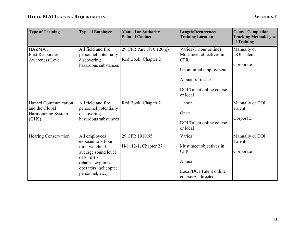| <b>Type of Training</b>                                                      | <b>Type of Employee</b>                                                                                                                                | <b>Manual or Authority</b><br><b>Point of Contact</b> | Length/Recurrence/<br><b>Training Location</b>                                                                                                         | <b>Course Completion</b><br><b>Tracking Method/Type</b><br>of Training |
|------------------------------------------------------------------------------|--------------------------------------------------------------------------------------------------------------------------------------------------------|-------------------------------------------------------|--------------------------------------------------------------------------------------------------------------------------------------------------------|------------------------------------------------------------------------|
| <b>HAZMAT</b><br><b>First Responder</b><br><b>Awareness Level</b>            | All field and fire<br>personnel potentially<br>discovering<br>hazardous substances                                                                     | 29 CFR Part 1910.120(q)<br>Red Book, Chapter 2        | Varies (1 hour online)<br>Must meet objectives in<br><b>CFR</b><br>Upon initial employment<br>Annual refresher<br>DOI Talent online course<br>or local | Manually or<br><b>DOI</b> Talent<br>Corporate                          |
| <b>Hazard Communication</b><br>and the Global<br>Harmonizing System<br>(GHS) | All field and fire<br>personnel potentially<br>discovering<br>hazardous substances                                                                     | Red Book, Chapter 2                                   | 1 hour<br>Once<br>DOI Talent online course<br>or local                                                                                                 | Manually or DOI<br>Talent<br>Corporate                                 |
| <b>Hearing Conservation</b>                                                  | All employees<br>exposed to 8-hour<br>time-weighted<br>average sound level<br>of 85 dBA<br>(chainsaw/pump<br>operators, helicopter<br>personnel, etc.) | 29 CFR 1910.95<br>H-1112-1, Chapter 27                | Varies<br>Must meet objectives in<br><b>CFR</b><br>Annual<br>Local/DOI Talent online<br>course/As directed                                             | Manually or DOI<br>Talent<br>Corporate                                 |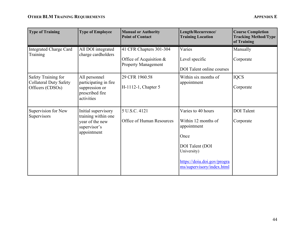| <b>Type of Training</b>                                                  | <b>Type of Employee</b>                                                                      | <b>Manual or Authority</b><br><b>Point of Contact</b>                              | Length/Recurrence/<br><b>Training Location</b>                                                                                                                 | <b>Course Completion</b><br><b>Tracking Method/Type</b><br>of Training |
|--------------------------------------------------------------------------|----------------------------------------------------------------------------------------------|------------------------------------------------------------------------------------|----------------------------------------------------------------------------------------------------------------------------------------------------------------|------------------------------------------------------------------------|
| <b>Integrated Charge Card</b><br>Training                                | All DOI integrated<br>charge cardholders                                                     | 41 CFR Chapters 301-304<br>Office of Acquisition $&$<br><b>Property Management</b> | Varies<br>Level specific<br><b>DOI</b> Talent online courses                                                                                                   | Manually<br>Corporate                                                  |
| Safety Training for<br><b>Collateral Duty Safety</b><br>Officers (CDSOs) | All personnel<br>participating in fire<br>suppression or<br>prescribed fire<br>activities    | 29 CFR 1960.58<br>H-1112-1, Chapter 5                                              | Within six months of<br>appointment                                                                                                                            | <b>IQCS</b><br>Corporate                                               |
| Supervision for New<br>Supervisors                                       | Initial supervisory<br>training within one<br>year of the new<br>supervisor's<br>appointment | 5 U.S.C. 4121<br>Office of Human Resources                                         | Varies to 40 hours<br>Within 12 months of<br>appointment<br>Once<br>DOI Talent (DOI<br>University)<br>https://doiu.doi.gov/progra<br>ms/supervisory/index.html | <b>DOI</b> Talent<br>Corporate                                         |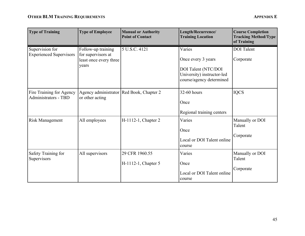| <b>Type of Training</b>                           | <b>Type of Employee</b>                                                     | <b>Manual or Authority</b><br><b>Point of Contact</b> | Length/Recurrence/<br><b>Training Location</b>                                                                | <b>Course Completion</b><br><b>Tracking Method/Type</b><br>of Training |
|---------------------------------------------------|-----------------------------------------------------------------------------|-------------------------------------------------------|---------------------------------------------------------------------------------------------------------------|------------------------------------------------------------------------|
| Supervision for<br><b>Experienced Supervisors</b> | Follow-up training<br>for supervisors at<br>least once every three<br>years | 5 U.S.C. 4121                                         | Varies<br>Once every 3 years<br>DOI Talent (NTC/DOI<br>University) instructor-led<br>course/agency determined | <b>DOI</b> Talent<br>Corporate                                         |
| Fire Training for Agency<br>Administrators - TBD  | Agency administrator   Red Book, Chapter 2<br>or other acting               |                                                       | 32-60 hours<br>Once<br>Regional training centers                                                              | <b>IQCS</b>                                                            |
| <b>Risk Management</b>                            | All employees                                                               | H-1112-1, Chapter 2                                   | Varies<br>Once<br>Local or DOI Talent online<br>course                                                        | Manually or DOI<br>Talent<br>Corporate                                 |
| Safety Training for<br>Supervisors                | All supervisors                                                             | 29 CFR 1960.55<br>H-1112-1, Chapter 5                 | Varies<br>Once<br>Local or DOI Talent online<br>course                                                        | Manually or DOI<br>Talent<br>Corporate                                 |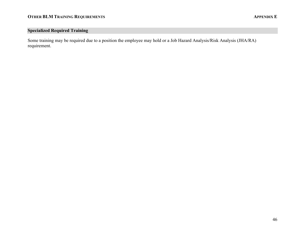## **Specialized Required Training**

Some training may be required due to a position the employee may hold or a Job Hazard Analysis/Risk Analysis (JHA/RA) requirement.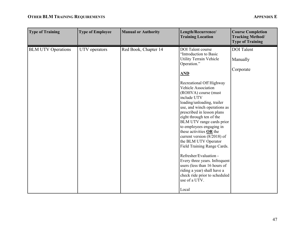## **OTHER BLM TRAINING REQUIREMENTS APPENDIX E**

| <b>Type of Training</b>   | <b>Type of Employee</b> | <b>Manual or Authority</b> | Length/Recurrence/<br><b>Training Location</b>                                                                                                                                                                                                                                                                                                                                                                                                                                                                                                                                                                                                                                       | <b>Course Completion</b><br><b>Tracking Method/</b><br><b>Type of Training</b> |
|---------------------------|-------------------------|----------------------------|--------------------------------------------------------------------------------------------------------------------------------------------------------------------------------------------------------------------------------------------------------------------------------------------------------------------------------------------------------------------------------------------------------------------------------------------------------------------------------------------------------------------------------------------------------------------------------------------------------------------------------------------------------------------------------------|--------------------------------------------------------------------------------|
| <b>BLM UTV Operations</b> | UTV operators           | Red Book, Chapter 14       | <b>DOI</b> Talent course<br>"Introduction to Basic<br>Utility Terrain Vehicle<br>Operation."<br>AND<br>Recreational Off Highway<br>Vehicle Association<br>(ROHVA) course (must<br>include UTV<br>loading/unloading, trailer<br>use, and winch operations as<br>prescribed in lesson plans<br>eight through ten of the<br>BLM UTV range cards prior<br>to employees engaging in<br>these activities OR the<br>current version (8/2018) of<br>the BLM UTV Operator<br>Field Training Range Cards.<br>Refresher/Evaluation -<br>Every three years. Infrequent<br>users (less than 16 hours of<br>riding a year) shall have a<br>check ride prior to scheduled<br>use of a UTV.<br>Local | <b>DOI</b> Talent<br>Manually<br>Corporate                                     |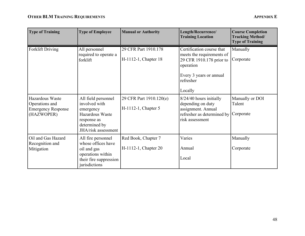| <b>Type of Training</b>                                                      | <b>Type of Employee</b>                                                                                                     | <b>Manual or Authority</b>                     | Length/Recurrence/<br><b>Training Location</b>                                                                                                     | <b>Course Completion</b><br><b>Tracking Method/</b><br><b>Type of Training</b> |
|------------------------------------------------------------------------------|-----------------------------------------------------------------------------------------------------------------------------|------------------------------------------------|----------------------------------------------------------------------------------------------------------------------------------------------------|--------------------------------------------------------------------------------|
| <b>Forklift Driving</b>                                                      | All personnel<br>required to operate a<br>forklift                                                                          | 29 CFR Part 1910.178<br>H-1112-1, Chapter 18   | Certification course that<br>meets the requirements of<br>29 CFR 1910.178 prior to<br>operation<br>Every 3 years or annual<br>refresher<br>Locally | Manually<br>Corporate                                                          |
| Hazardous Waste<br>Operations and<br><b>Emergency Response</b><br>(HAZWOPER) | All field personnel<br>involved with<br>emergency<br>Hazardous Waste<br>response as<br>determined by<br>JHA/risk assessment | 29 CFR Part 1910.120(e)<br>H-1112-1, Chapter 5 | 8/24/40 hours initially<br>depending on duty<br>assignment. Annual<br>refresher as determined by<br>risk assessment                                | Manually or DOI<br>Talent<br>Corporate                                         |
| Oil and Gas Hazard<br>Recognition and<br>Mitigation                          | All fire personnel<br>whose offices have<br>oil and gas<br>operations within<br>their fire suppression<br>jurisdictions     | Red Book, Chapter 7<br>H-1112-1, Chapter 20    | Varies<br>Annual<br>Local                                                                                                                          | Manually<br>Corporate                                                          |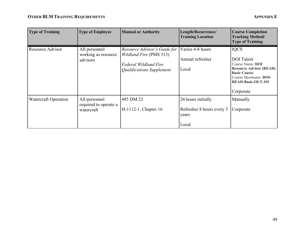| <b>Type of Training</b>     | <b>Type of Employee</b>                              | <b>Manual or Authority</b>                                                                                                  | Length/Recurrence/<br><b>Training Location</b>                    | <b>Course Completion</b><br><b>Tracking Method/</b><br><b>Type of Training</b>                                                                                                    |
|-----------------------------|------------------------------------------------------|-----------------------------------------------------------------------------------------------------------------------------|-------------------------------------------------------------------|-----------------------------------------------------------------------------------------------------------------------------------------------------------------------------------|
| Resource Advisor            | All personnel<br>working as resource<br>advisors     | Resource Advisor's Guide for<br><i>Wildland Fire</i> (PMS 313)<br><b>Federal Wildland Fire</b><br>Qualifications Supplement | Varies 4-8 hours<br>Annual refresher<br>Local                     | <b>IQCS</b><br><b>DOI</b> Talent<br>Course Name: DOI<br><b>Resource Advisor (READ)</b><br><b>Basic Course</b><br>Course Shortname: DOI-<br><b>READ-Basic-OLT-101</b><br>Corporate |
| <b>Watercraft Operation</b> | All personnel<br>required to operate a<br>watercraft | 485 DM 22<br>H-1112-1, Chapter 16                                                                                           | 24 hours initially<br>Refresher 8 hours every 5<br>years<br>Local | Manually<br>Corporate                                                                                                                                                             |